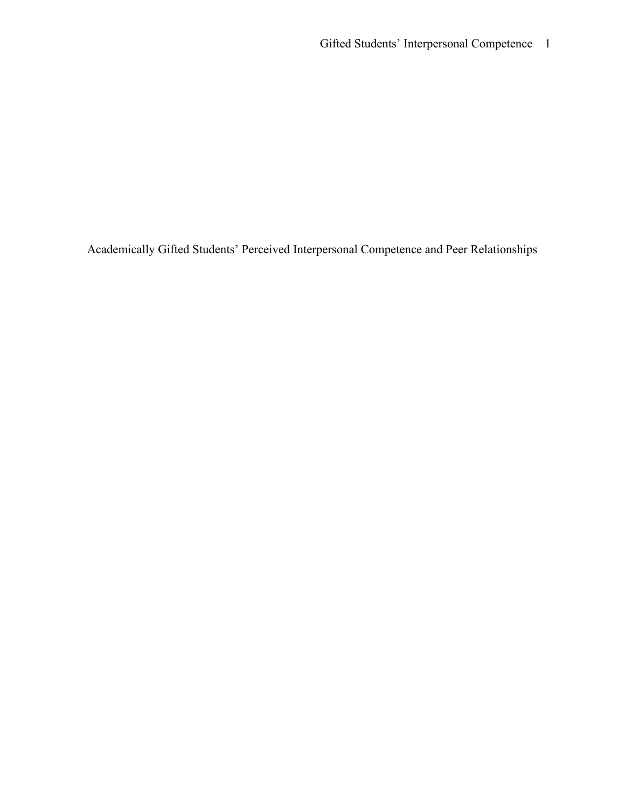Academically Gifted Students' Perceived Interpersonal Competence and Peer Relationships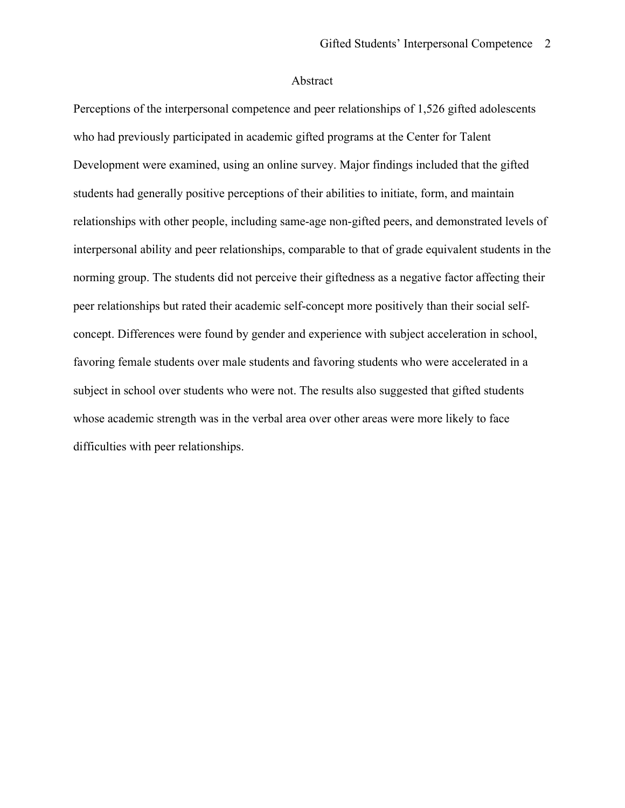# Abstract

 Perceptions of the interpersonal competence and peer relationships of 1,526 gifted adolescents Development were examined, using an online survey. Major findings included that the gifted students had generally positive perceptions of their abilities to initiate, form, and maintain relationships with other people, including same-age non-gifted peers, and demonstrated levels of norming group. The students did not perceive their giftedness as a negative factor affecting their peer relationships but rated their academic self-concept more positively than their social self- favoring female students over male students and favoring students who were accelerated in a subject in school over students who were not. The results also suggested that gifted students who had previously participated in academic gifted programs at the Center for Talent interpersonal ability and peer relationships, comparable to that of grade equivalent students in the concept. Differences were found by gender and experience with subject acceleration in school, whose academic strength was in the verbal area over other areas were more likely to face difficulties with peer relationships.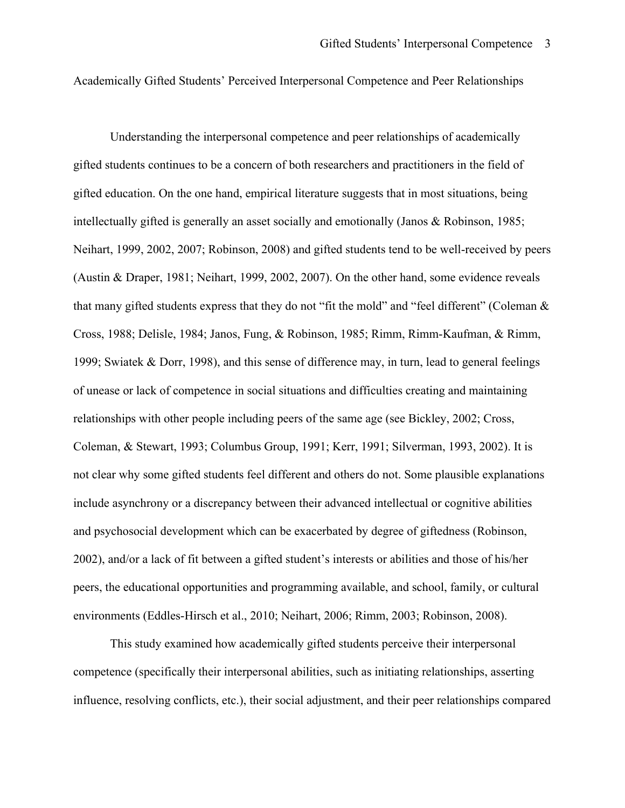Academically Gifted Students' Perceived Interpersonal Competence and Peer Relationships

 gifted students continues to be a concern of both researchers and practitioners in the field of (Austin & Draper, 1981; Neihart, 1999, 2002, 2007). On the other hand, some evidence reveals that many gifted students express that they do not "fit the mold" and "feel different" (Coleman & 1999; Swiatek & Dorr, 1998), and this sense of difference may, in turn, lead to general feelings Coleman, & Stewart, 1993; Columbus Group, 1991; Kerr, 1991; Silverman, 1993, 2002). It is not clear why some gifted students feel different and others do not. Some plausible explanations include asynchrony or a discrepancy between their advanced intellectual or cognitive abilities 2002), and/or a lack of fit between a gifted student's interests or abilities and those of his/her environments (Eddles-Hirsch et al., 2010; Neihart, 2006; Rimm, 2003; Robinson, 2008). This study examined how academically gifted students perceive their interpersonal Understanding the interpersonal competence and peer relationships of academically gifted education. On the one hand, empirical literature suggests that in most situations, being intellectually gifted is generally an asset socially and emotionally (Janos & Robinson, 1985; Neihart, 1999, 2002, 2007; Robinson, 2008) and gifted students tend to be well-received by peers Cross, 1988; Delisle, 1984; Janos, Fung, & Robinson, 1985; Rimm, Rimm-Kaufman, & Rimm, of unease or lack of competence in social situations and difficulties creating and maintaining relationships with other people including peers of the same age (see Bickley, 2002; Cross, and psychosocial development which can be exacerbated by degree of giftedness (Robinson, peers, the educational opportunities and programming available, and school, family, or cultural

This study examined how academically gifted students perceive their interpersonal competence (specifically their interpersonal abilities, such as initiating relationships, asserting influence, resolving conflicts, etc.), their social adjustment, and their peer relationships compared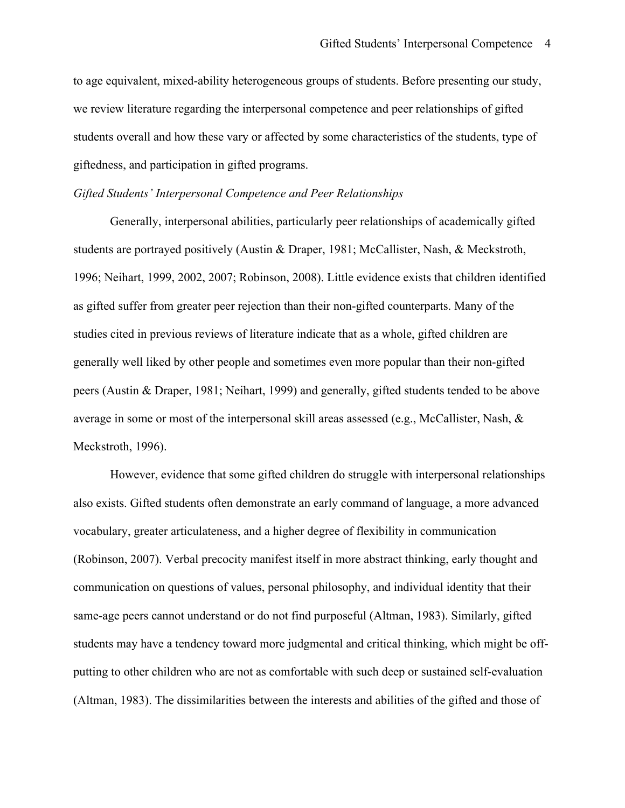we review literature regarding the interpersonal competence and peer relationships of gifted students overall and how these vary or affected by some characteristics of the students, type of to age equivalent, mixed-ability heterogeneous groups of students. Before presenting our study, giftedness, and participation in gifted programs.

# *Gifted Students' Interpersonal Competence and Peer Relationships*

 1996; Neihart, 1999, 2002, 2007; Robinson, 2008). Little evidence exists that children identified Meckstroth, 1996). Generally, interpersonal abilities, particularly peer relationships of academically gifted students are portrayed positively (Austin & Draper, 1981; McCallister, Nash, & Meckstroth, as gifted suffer from greater peer rejection than their non-gifted counterparts. Many of the studies cited in previous reviews of literature indicate that as a whole, gifted children are generally well liked by other people and sometimes even more popular than their non-gifted peers (Austin & Draper, 1981; Neihart, 1999) and generally, gifted students tended to be above average in some or most of the interpersonal skill areas assessed (e.g., McCallister, Nash,  $\&$ 

 (Altman, 1983). The dissimilarities between the interests and abilities of the gifted and those of However, evidence that some gifted children do struggle with interpersonal relationships also exists. Gifted students often demonstrate an early command of language, a more advanced vocabulary, greater articulateness, and a higher degree of flexibility in communication (Robinson, 2007). Verbal precocity manifest itself in more abstract thinking, early thought and communication on questions of values, personal philosophy, and individual identity that their same-age peers cannot understand or do not find purposeful (Altman, 1983). Similarly, gifted students may have a tendency toward more judgmental and critical thinking, which might be offputting to other children who are not as comfortable with such deep or sustained self-evaluation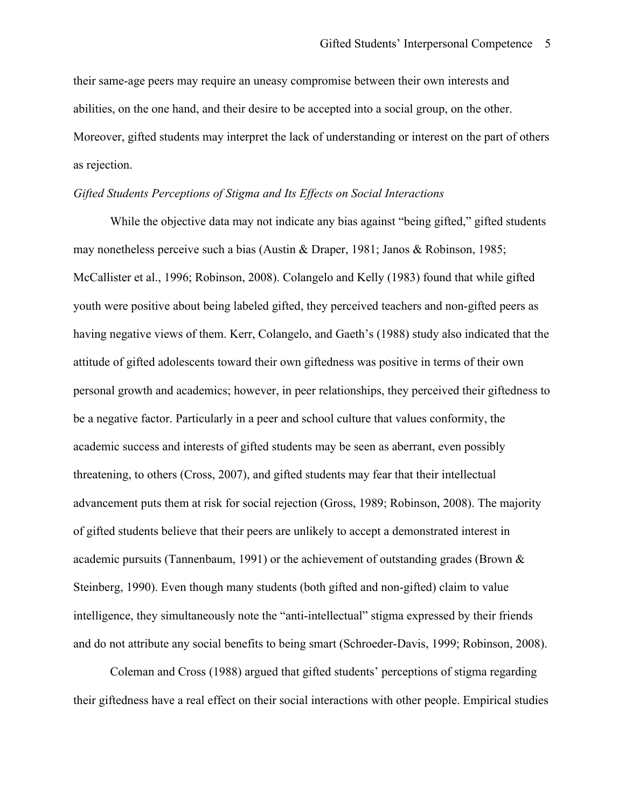as rejection. their same-age peers may require an uneasy compromise between their own interests and abilities, on the one hand, and their desire to be accepted into a social group, on the other. Moreover, gifted students may interpret the lack of understanding or interest on the part of others

# *Gifted Students Perceptions of Stigma and Its Effects on Social Interactions*

 personal growth and academics; however, in peer relationships, they perceived their giftedness to be a negative factor. Particularly in a peer and school culture that values conformity, the While the objective data may not indicate any bias against "being gifted," gifted students may nonetheless perceive such a bias (Austin & Draper, 1981; Janos & Robinson, 1985; McCallister et al., 1996; Robinson, 2008). Colangelo and Kelly (1983) found that while gifted youth were positive about being labeled gifted, they perceived teachers and non-gifted peers as having negative views of them. Kerr, Colangelo, and Gaeth's (1988) study also indicated that the attitude of gifted adolescents toward their own giftedness was positive in terms of their own academic success and interests of gifted students may be seen as aberrant, even possibly threatening, to others (Cross, 2007), and gifted students may fear that their intellectual advancement puts them at risk for social rejection (Gross, 1989; Robinson, 2008). The majority of gifted students believe that their peers are unlikely to accept a demonstrated interest in academic pursuits (Tannenbaum, 1991) or the achievement of outstanding grades (Brown & Steinberg, 1990). Even though many students (both gifted and non-gifted) claim to value intelligence, they simultaneously note the "anti-intellectual" stigma expressed by their friends and do not attribute any social benefits to being smart (Schroeder-Davis, 1999; Robinson, 2008).

Coleman and Cross (1988) argued that gifted students' perceptions of stigma regarding their giftedness have a real effect on their social interactions with other people. Empirical studies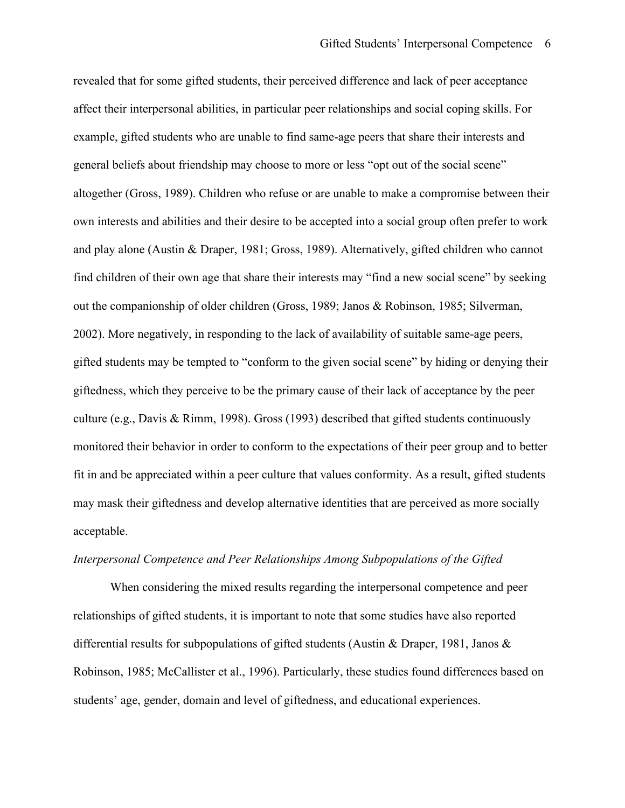gifted students may be tempted to "conform to the given social scene" by hiding or denying their culture (e.g., Davis & Rimm, 1998). Gross (1993) described that gifted students continuously revealed that for some gifted students, their perceived difference and lack of peer acceptance affect their interpersonal abilities, in particular peer relationships and social coping skills. For example, gifted students who are unable to find same-age peers that share their interests and general beliefs about friendship may choose to more or less "opt out of the social scene" altogether (Gross, 1989). Children who refuse or are unable to make a compromise between their own interests and abilities and their desire to be accepted into a social group often prefer to work and play alone (Austin & Draper, 1981; Gross, 1989). Alternatively, gifted children who cannot find children of their own age that share their interests may "find a new social scene" by seeking out the companionship of older children (Gross, 1989; Janos & Robinson, 1985; Silverman, 2002). More negatively, in responding to the lack of availability of suitable same-age peers, giftedness, which they perceive to be the primary cause of their lack of acceptance by the peer monitored their behavior in order to conform to the expectations of their peer group and to better fit in and be appreciated within a peer culture that values conformity. As a result, gifted students may mask their giftedness and develop alternative identities that are perceived as more socially acceptable.

#### *Interpersonal Competence and Peer Relationships Among Subpopulations of the Gifted*

When considering the mixed results regarding the interpersonal competence and peer relationships of gifted students, it is important to note that some studies have also reported differential results for subpopulations of gifted students (Austin & Draper, 1981, Janos & Robinson, 1985; McCallister et al., 1996). Particularly, these studies found differences based on students' age, gender, domain and level of giftedness, and educational experiences.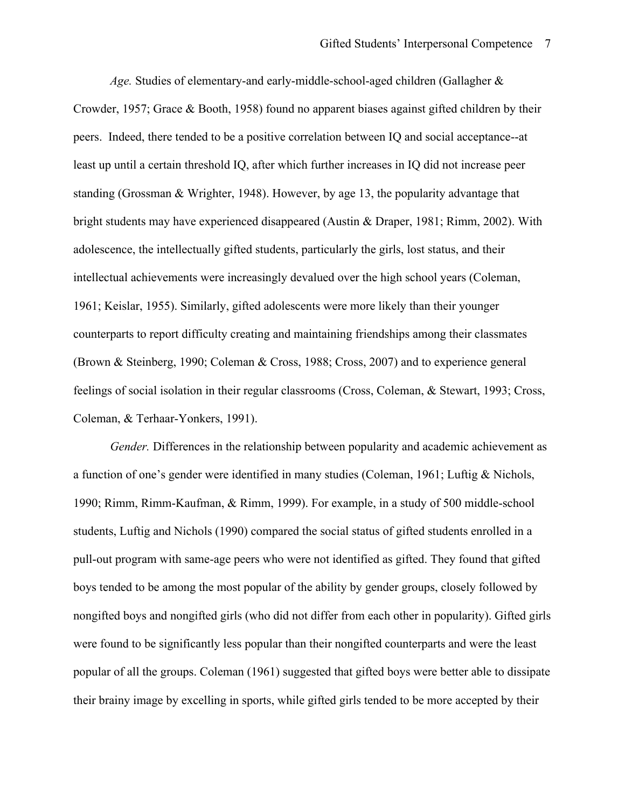*Age.* Studies of elementary-and early-middle-school-aged children (Gallagher & Crowder, 1957; Grace & Booth, 1958) found no apparent biases against gifted children by their peers. Indeed, there tended to be a positive correlation between IQ and social acceptance--at least up until a certain threshold IQ, after which further increases in IQ did not increase peer standing (Grossman & Wrighter, 1948). However, by age 13, the popularity advantage that bright students may have experienced disappeared (Austin & Draper, 1981; Rimm, 2002). With adolescence, the intellectually gifted students, particularly the girls, lost status, and their intellectual achievements were increasingly devalued over the high school years (Coleman, 1961; Keislar, 1955). Similarly, gifted adolescents were more likely than their younger counterparts to report difficulty creating and maintaining friendships among their classmates (Brown & Steinberg, 1990; Coleman & Cross, 1988; Cross, 2007) and to experience general feelings of social isolation in their regular classrooms (Cross, Coleman, & Stewart, 1993; Cross, Coleman, & Terhaar-Yonkers, 1991).

*Gender.* Differences in the relationship between popularity and academic achievement as a function of one's gender were identified in many studies (Coleman, 1961; Luftig & Nichols, 1990; Rimm, Rimm-Kaufman, & Rimm, 1999). For example, in a study of 500 middle-school students, Luftig and Nichols (1990) compared the social status of gifted students enrolled in a pull-out program with same-age peers who were not identified as gifted. They found that gifted boys tended to be among the most popular of the ability by gender groups, closely followed by nongifted boys and nongifted girls (who did not differ from each other in popularity). Gifted girls were found to be significantly less popular than their nongifted counterparts and were the least popular of all the groups. Coleman (1961) suggested that gifted boys were better able to dissipate their brainy image by excelling in sports, while gifted girls tended to be more accepted by their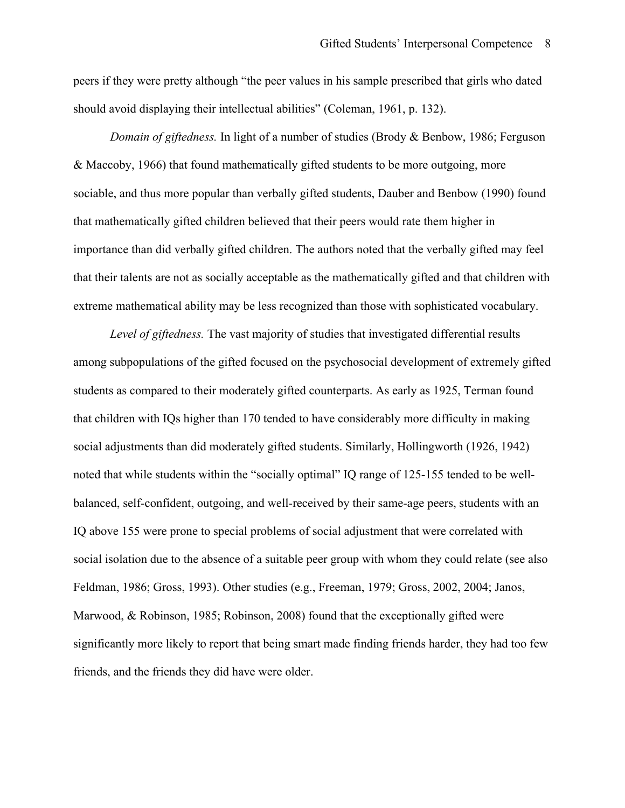peers if they were pretty although "the peer values in his sample prescribed that girls who dated should avoid displaying their intellectual abilities" (Coleman, 1961, p. 132).

 that their talents are not as socially acceptable as the mathematically gifted and that children with *Domain of giftedness.* In light of a number of studies (Brody & Benbow, 1986; Ferguson & Maccoby, 1966) that found mathematically gifted students to be more outgoing, more sociable, and thus more popular than verbally gifted students, Dauber and Benbow (1990) found that mathematically gifted children believed that their peers would rate them higher in importance than did verbally gifted children. The authors noted that the verbally gifted may feel extreme mathematical ability may be less recognized than those with sophisticated vocabulary.

 Feldman, 1986; Gross, 1993). Other studies (e.g., Freeman, 1979; Gross, 2002, 2004; Janos, friends, and the friends they did have were older. *Level of giftedness.* The vast majority of studies that investigated differential results among subpopulations of the gifted focused on the psychosocial development of extremely gifted students as compared to their moderately gifted counterparts. As early as 1925, Terman found that children with IQs higher than 170 tended to have considerably more difficulty in making social adjustments than did moderately gifted students. Similarly, Hollingworth (1926, 1942) noted that while students within the "socially optimal" IQ range of 125-155 tended to be wellbalanced, self-confident, outgoing, and well-received by their same-age peers, students with an IQ above 155 were prone to special problems of social adjustment that were correlated with social isolation due to the absence of a suitable peer group with whom they could relate (see also Marwood, & Robinson, 1985; Robinson, 2008) found that the exceptionally gifted were significantly more likely to report that being smart made finding friends harder, they had too few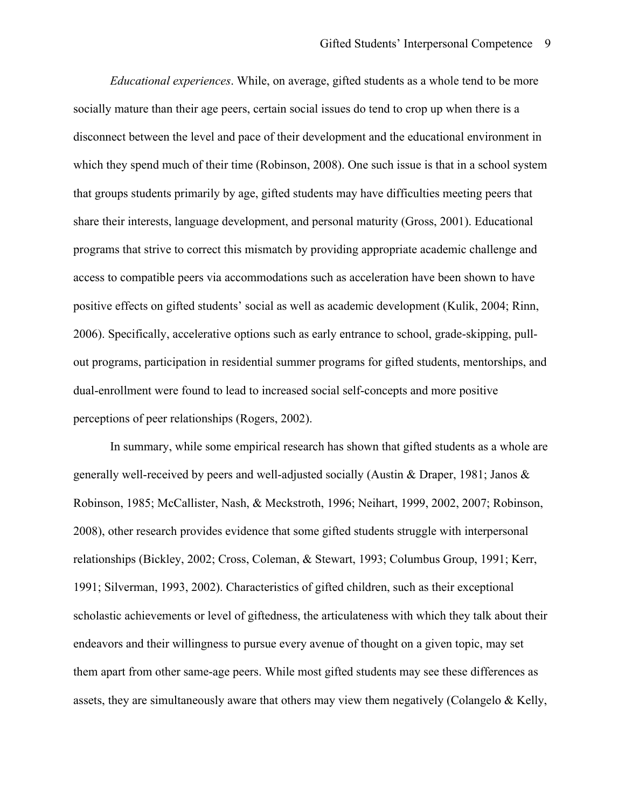*Educational experiences*. While, on average, gifted students as a whole tend to be more positive effects on gifted students' social as well as academic development (Kulik, 2004; Rinn, perceptions of peer relationships (Rogers, 2002). perceptions of peer relationships (Rogers, 2002).<br>In summary, while some empirical research has shown that gifted students as a whole are socially mature than their age peers, certain social issues do tend to crop up when there is a disconnect between the level and pace of their development and the educational environment in which they spend much of their time (Robinson, 2008). One such issue is that in a school system that groups students primarily by age, gifted students may have difficulties meeting peers that share their interests, language development, and personal maturity (Gross, 2001). Educational programs that strive to correct this mismatch by providing appropriate academic challenge and access to compatible peers via accommodations such as acceleration have been shown to have 2006). Specifically, accelerative options such as early entrance to school, grade-skipping, pullout programs, participation in residential summer programs for gifted students, mentorships, and dual-enrollment were found to lead to increased social self-concepts and more positive

 generally well-received by peers and well-adjusted socially (Austin & Draper, 1981; Janos & 1991; Silverman, 1993, 2002). Characteristics of gifted children, such as their exceptional endeavors and their willingness to pursue every avenue of thought on a given topic, may set Robinson, 1985; McCallister, Nash, & Meckstroth, 1996; Neihart, 1999, 2002, 2007; Robinson, 2008), other research provides evidence that some gifted students struggle with interpersonal relationships (Bickley, 2002; Cross, Coleman, & Stewart, 1993; Columbus Group, 1991; Kerr, scholastic achievements or level of giftedness, the articulateness with which they talk about their them apart from other same-age peers. While most gifted students may see these differences as assets, they are simultaneously aware that others may view them negatively (Colangelo & Kelly,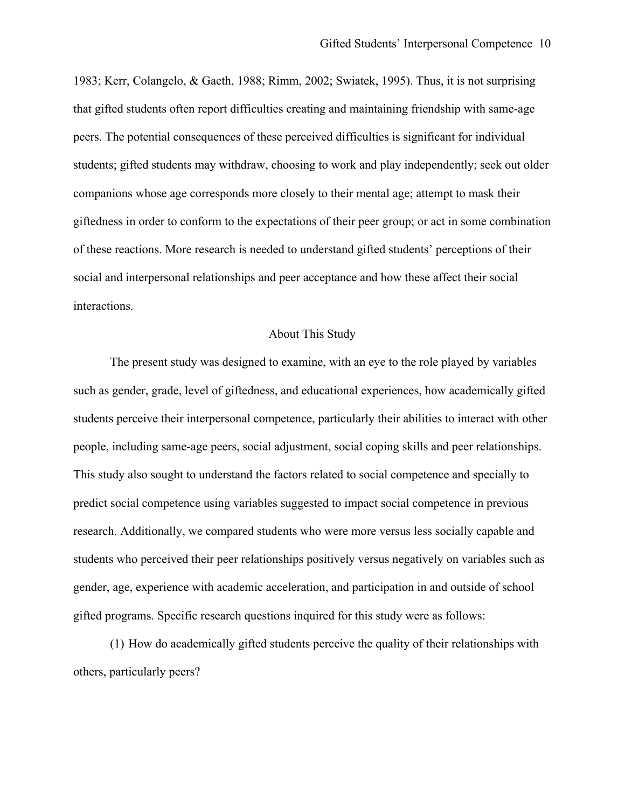1983; Kerr, Colangelo, & Gaeth, 1988; Rimm, 2002; Swiatek, 1995). Thus, it is not surprising of these reactions. More research is needed to understand gifted students' perceptions of their social and interpersonal relationships and peer acceptance and how these affect their social that gifted students often report difficulties creating and maintaining friendship with same-age peers. The potential consequences of these perceived difficulties is significant for individual students; gifted students may withdraw, choosing to work and play independently; seek out older companions whose age corresponds more closely to their mental age; attempt to mask their giftedness in order to conform to the expectations of their peer group; or act in some combination interactions.

### About This Study

 The present study was designed to examine, with an eye to the role played by variables students perceive their interpersonal competence, particularly their abilities to interact with other predict social competence using variables suggested to impact social competence in previous gifted programs. Specific research questions inquired for this study were as follows: such as gender, grade, level of giftedness, and educational experiences, how academically gifted people, including same-age peers, social adjustment, social coping skills and peer relationships. This study also sought to understand the factors related to social competence and specially to research. Additionally, we compared students who were more versus less socially capable and students who perceived their peer relationships positively versus negatively on variables such as gender, age, experience with academic acceleration, and participation in and outside of school

(1) How do academically gifted students perceive the quality of their relationships with others, particularly peers?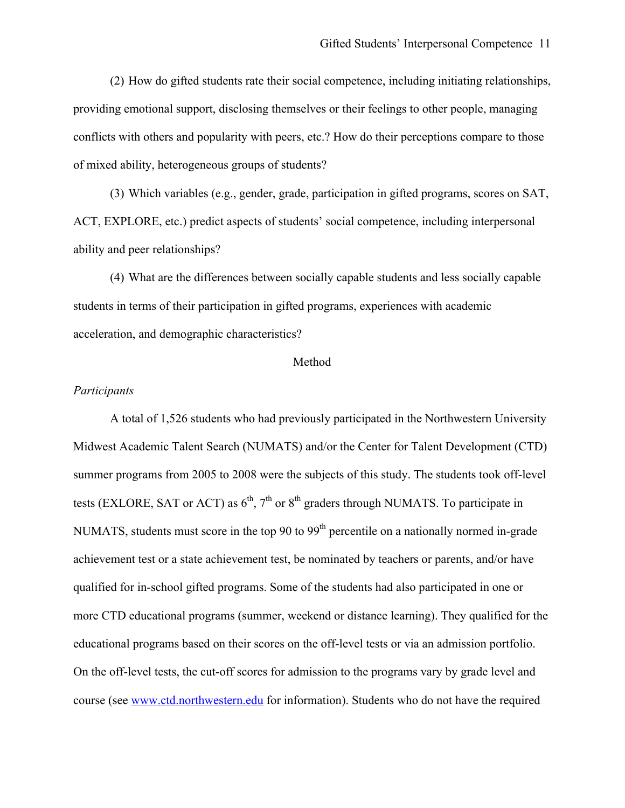(2) How do gifted students rate their social competence, including initiating relationships, providing emotional support, disclosing themselves or their feelings to other people, managing conflicts with others and popularity with peers, etc.? How do their perceptions compare to those of mixed ability, heterogeneous groups of students?

ability and peer relationships? (3) Which variables (e.g., gender, grade, participation in gifted programs, scores on SAT, ACT, EXPLORE, etc.) predict aspects of students' social competence, including interpersonal

 students in terms of their participation in gifted programs, experiences with academic (4) What are the differences between socially capable students and less socially capable acceleration, and demographic characteristics?

#### Method

### *Participants*

tests (EXLORE, SAT or ACT) as  $6<sup>th</sup>$ ,  $7<sup>th</sup>$  or  $8<sup>th</sup>$  graders through NUMATS. To participate in A total of 1,526 students who had previously participated in the Northwestern University Midwest Academic Talent Search (NUMATS) and/or the Center for Talent Development (CTD) summer programs from 2005 to 2008 were the subjects of this study. The students took off-level NUMATS, students must score in the top 90 to 99<sup>th</sup> percentile on a nationally normed in-grade achievement test or a state achievement test, be nominated by teachers or parents, and/or have qualified for in-school gifted programs. Some of the students had also participated in one or more CTD educational programs (summer, weekend or distance learning). They qualified for the educational programs based on their scores on the off-level tests or via an admission portfolio. On the off-level tests, the cut-off scores for admission to the programs vary by grade level and course (see www.ctd.northwestern.edu for information). Students who do not have the required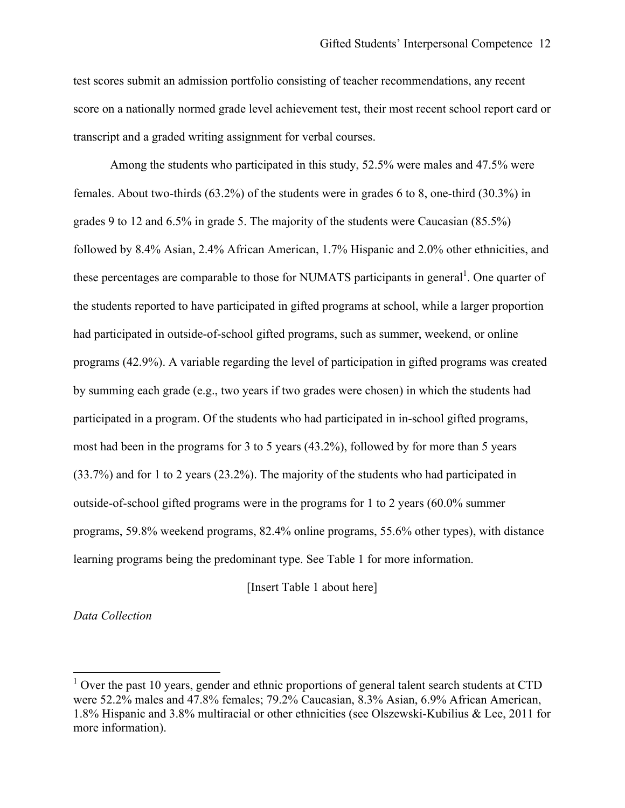test scores submit an admission portfolio consisting of teacher recommendations, any recent score on a nationally normed grade level achievement test, their most recent school report card or transcript and a graded writing assignment for verbal courses.

these percentages are comparable to those for NUMATS participants in general<sup>1</sup>. One quarter of had participated in outside-of-school gifted programs, such as summer, weekend, or online Among the students who participated in this study, 52.5% were males and 47.5% were females. About two-thirds (63.2%) of the students were in grades 6 to 8, one-third (30.3%) in grades 9 to 12 and 6.5% in grade 5. The majority of the students were Caucasian (85.5%) followed by 8.4% Asian, 2.4% African American, 1.7% Hispanic and 2.0% other ethnicities, and the students reported to have participated in gifted programs at school, while a larger proportion programs (42.9%). A variable regarding the level of participation in gifted programs was created by summing each grade (e.g., two years if two grades were chosen) in which the students had participated in a program. Of the students who had participated in in-school gifted programs, most had been in the programs for 3 to 5 years (43.2%), followed by for more than 5 years (33.7%) and for 1 to 2 years (23.2%). The majority of the students who had participated in outside-of-school gifted programs were in the programs for 1 to 2 years (60.0% summer programs, 59.8% weekend programs, 82.4% online programs, 55.6% other types), with distance learning programs being the predominant type. See Table 1 for more information.

[Insert Table 1 about here]

*Data Collection* 

 $\overline{a}$ 

 $1$  Over the past 10 years, gender and ethnic proportions of general talent search students at CTD more information). were 52.2% males and 47.8% females; 79.2% Caucasian, 8.3% Asian, 6.9% African American, 1.8% Hispanic and 3.8% multiracial or other ethnicities (see Olszewski-Kubilius & Lee, 2011 for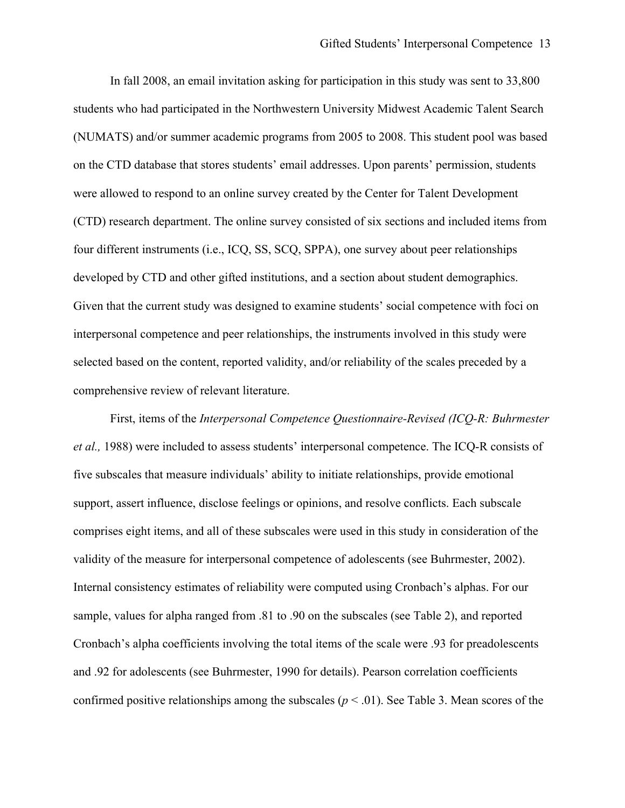(CTD) research department. The online survey consisted of six sections and included items from four different instruments (i.e., ICQ, SS, SCQ, SPPA), one survey about peer relationships comprehensive review of relevant literature. In fall 2008, an email invitation asking for participation in this study was sent to 33,800 students who had participated in the Northwestern University Midwest Academic Talent Search (NUMATS) and/or summer academic programs from 2005 to 2008. This student pool was based on the CTD database that stores students' email addresses. Upon parents' permission, students were allowed to respond to an online survey created by the Center for Talent Development developed by CTD and other gifted institutions, and a section about student demographics. Given that the current study was designed to examine students' social competence with foci on interpersonal competence and peer relationships, the instruments involved in this study were selected based on the content, reported validity, and/or reliability of the scales preceded by a

 five subscales that measure individuals' ability to initiate relationships, provide emotional comprises eight items, and all of these subscales were used in this study in consideration of the validity of the measure for interpersonal competence of adolescents (see Buhrmester, 2002). confirmed positive relationships among the subscales ( $p < .01$ ). See Table 3. Mean scores of the First, items of the *Interpersonal Competence Questionnaire-Revised (ICQ-R: Buhrmester et al.,* 1988) were included to assess students' interpersonal competence. The ICQ-R consists of support, assert influence, disclose feelings or opinions, and resolve conflicts. Each subscale Internal consistency estimates of reliability were computed using Cronbach's alphas. For our sample, values for alpha ranged from .81 to .90 on the subscales (see Table 2), and reported Cronbach's alpha coefficients involving the total items of the scale were .93 for preadolescents and .92 for adolescents (see Buhrmester, 1990 for details). Pearson correlation coefficients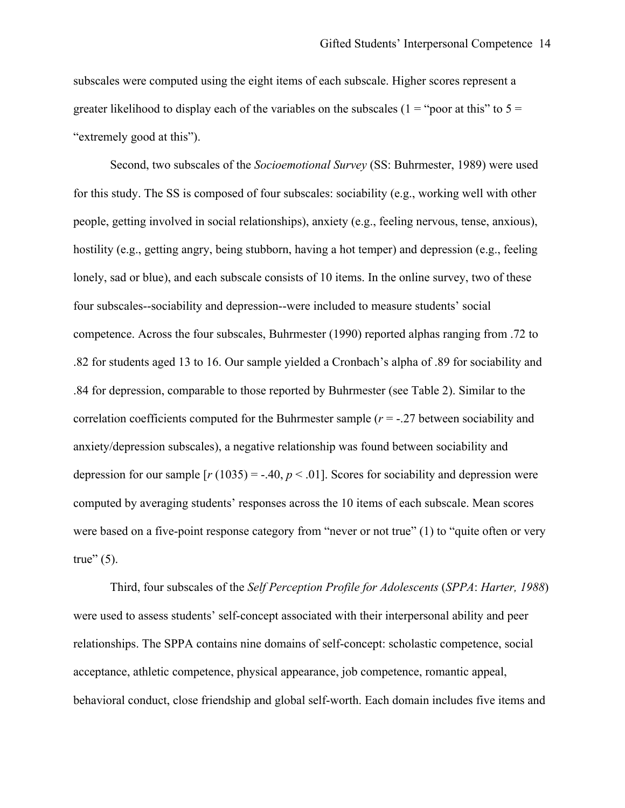subscales were computed using the eight items of each subscale. Higher scores represent a greater likelihood to display each of the variables on the subscales ( $1 =$  "poor at this" to  $5 =$ "extremely good at this").

 for this study. The SS is composed of four subscales: sociability (e.g., working well with other .84 for depression, comparable to those reported by Buhrmester (see Table 2). Similar to the depression for our sample  $[r(1035) = -.40, p < .01]$ . Scores for sociability and depression were Second, two subscales of the *Socioemotional Survey* (SS: Buhrmester, 1989) were used people, getting involved in social relationships), anxiety (e.g., feeling nervous, tense, anxious), hostility (e.g., getting angry, being stubborn, having a hot temper) and depression (e.g., feeling lonely, sad or blue), and each subscale consists of 10 items. In the online survey, two of these four subscales--sociability and depression--were included to measure students' social competence. Across the four subscales, Buhrmester (1990) reported alphas ranging from .72 to .82 for students aged 13 to 16. Our sample yielded a Cronbach's alpha of .89 for sociability and correlation coefficients computed for the Buhrmester sample (*r* = -.27 between sociability and anxiety/depression subscales), a negative relationship was found between sociability and computed by averaging students' responses across the 10 items of each subscale. Mean scores were based on a five-point response category from "never or not true" (1) to "quite often or very true"  $(5)$ .

 were used to assess students' self-concept associated with their interpersonal ability and peer behavioral conduct, close friendship and global self-worth. Each domain includes five items and Third, four subscales of the *Self Perception Profile for Adolescents* (*SPPA*: *Harter, 1988*) relationships. The SPPA contains nine domains of self-concept: scholastic competence, social acceptance, athletic competence, physical appearance, job competence, romantic appeal,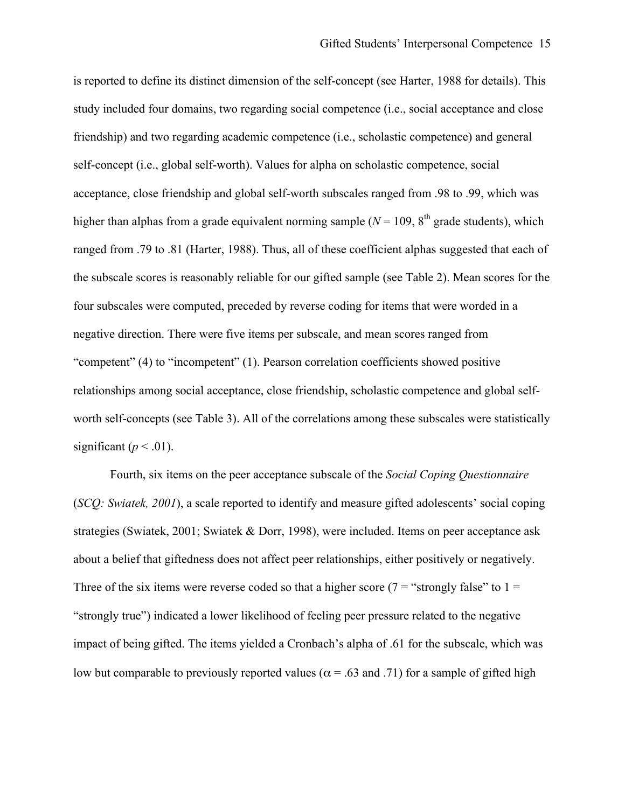higher than alphas from a grade equivalent norming sample ( $N = 109$ ,  $8<sup>th</sup>$  grade students), which negative direction. There were five items per subscale, and mean scores ranged from significant ( $p < .01$ ). is reported to define its distinct dimension of the self-concept (see Harter, 1988 for details). This study included four domains, two regarding social competence (i.e., social acceptance and close friendship) and two regarding academic competence (i.e., scholastic competence) and general self-concept (i.e., global self-worth). Values for alpha on scholastic competence, social acceptance, close friendship and global self-worth subscales ranged from .98 to .99, which was ranged from .79 to .81 (Harter, 1988). Thus, all of these coefficient alphas suggested that each of the subscale scores is reasonably reliable for our gifted sample (see Table 2). Mean scores for the four subscales were computed, preceded by reverse coding for items that were worded in a "competent" (4) to "incompetent" (1). Pearson correlation coefficients showed positive relationships among social acceptance, close friendship, scholastic competence and global selfworth self-concepts (see Table 3). All of the correlations among these subscales were statistically

 Fourth, six items on the peer acceptance subscale of the *Social Coping Questionnaire*  (*SCQ: Swiatek, 2001*), a scale reported to identify and measure gifted adolescents' social coping strategies (Swiatek, 2001; Swiatek & Dorr, 1998), were included. Items on peer acceptance ask about a belief that giftedness does not affect peer relationships, either positively or negatively. Three of the six items were reverse coded so that a higher score ( $7 =$  "strongly false" to  $1 =$ "strongly true") indicated a lower likelihood of feeling peer pressure related to the negative impact of being gifted. The items yielded a Cronbach's alpha of .61 for the subscale, which was low but comparable to previously reported values ( $\alpha$  = .63 and .71) for a sample of gifted high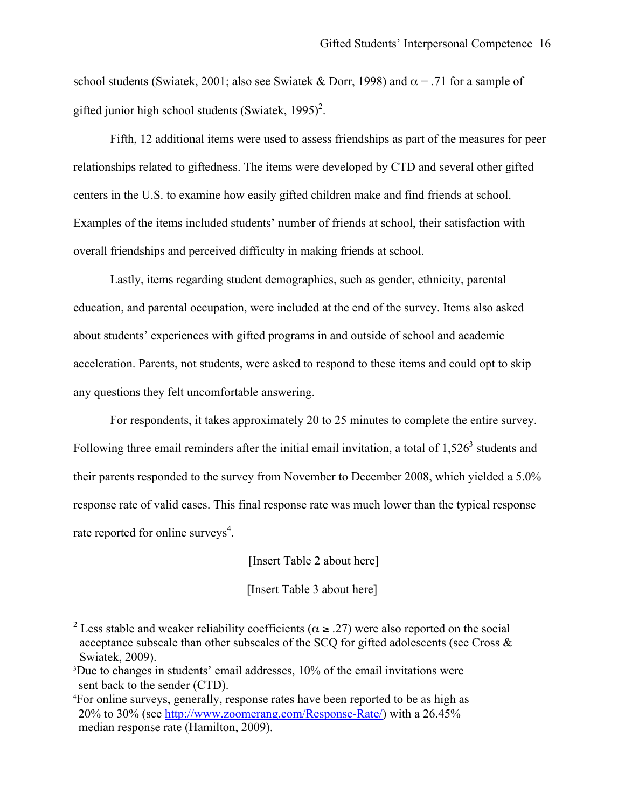school students (Swiatek, 2001; also see Swiatek & Dorr, 1998) and  $\alpha$  = .71 for a sample of gifted junior high school students (Swiatek,  $1995$ )<sup>2</sup>.

 Fifth, 12 additional items were used to assess friendships as part of the measures for peer relationships related to giftedness. The items were developed by CTD and several other gifted centers in the U.S. to examine how easily gifted children make and find friends at school. Examples of the items included students' number of friends at school, their satisfaction with overall friendships and perceived difficulty in making friends at school.

Lastly, items regarding student demographics, such as gender, ethnicity, parental education, and parental occupation, were included at the end of the survey. Items also asked about students' experiences with gifted programs in and outside of school and academic acceleration. Parents, not students, were asked to respond to these items and could opt to skip any questions they felt uncomfortable answering.

 For respondents, it takes approximately 20 to 25 minutes to complete the entire survey. Following three email reminders after the initial email invitation, a total of  $1,526<sup>3</sup>$  students and their parents responded to the survey from November to December 2008, which yielded a 5.0% response rate of valid cases. This final response rate was much lower than the typical response rate reported for online surveys $4$ .

[Insert Table 2 about here]

[Insert Table 3 about here]

 $\overline{a}$ 

<sup>&</sup>lt;sup>2</sup> Less stable and weaker reliability coefficients ( $\alpha \ge 0.27$ ) were also reported on the social acceptance subscale than other subscales of the SCQ for gifted adolescents (see Cross & Swiatek, 2009).

 sent back to the sender (CTD). 3 Due to changes in students' email addresses, 10% of the email invitations were

 median response rate (Hamilton, 2009). 4 For online surveys, generally, response rates have been reported to be as high as 20% to 30% (see http://www.zoomerang.com/Response-Rate/) with a 26.45%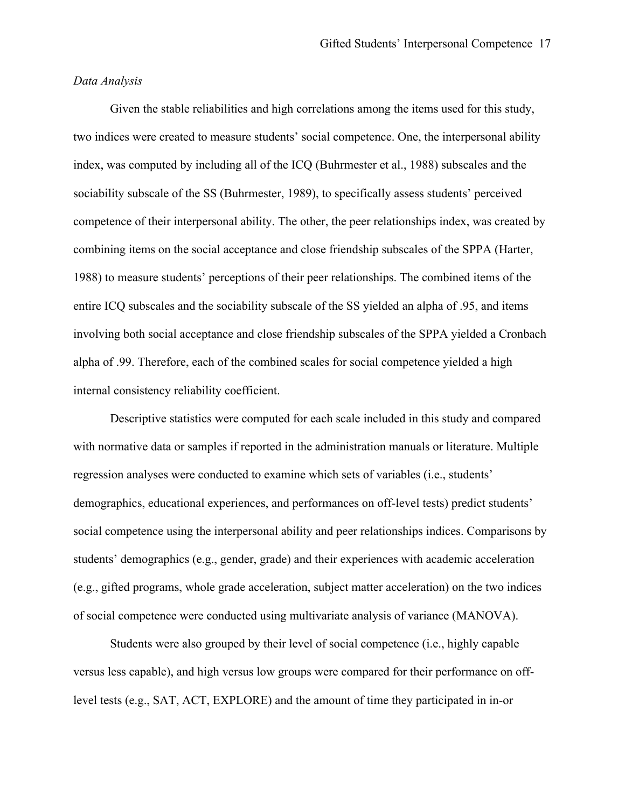### *Data Analysis*

 Given the stable reliabilities and high correlations among the items used for this study, two indices were created to measure students' social competence. One, the interpersonal ability 1988) to measure students' perceptions of their peer relationships. The combined items of the index, was computed by including all of the ICQ (Buhrmester et al., 1988) subscales and the sociability subscale of the SS (Buhrmester, 1989), to specifically assess students' perceived competence of their interpersonal ability. The other, the peer relationships index, was created by combining items on the social acceptance and close friendship subscales of the SPPA (Harter, entire ICQ subscales and the sociability subscale of the SS yielded an alpha of .95, and items involving both social acceptance and close friendship subscales of the SPPA yielded a Cronbach alpha of .99. Therefore, each of the combined scales for social competence yielded a high internal consistency reliability coefficient.

 with normative data or samples if reported in the administration manuals or literature. Multiple students' demographics (e.g., gender, grade) and their experiences with academic acceleration of social competence were conducted using multivariate analysis of variance (MANOVA). Descriptive statistics were computed for each scale included in this study and compared regression analyses were conducted to examine which sets of variables (i.e., students' demographics, educational experiences, and performances on off-level tests) predict students' social competence using the interpersonal ability and peer relationships indices. Comparisons by (e.g., gifted programs, whole grade acceleration, subject matter acceleration) on the two indices

 level tests (e.g., SAT, ACT, EXPLORE) and the amount of time they participated in in-or Students were also grouped by their level of social competence (i.e., highly capable versus less capable), and high versus low groups were compared for their performance on off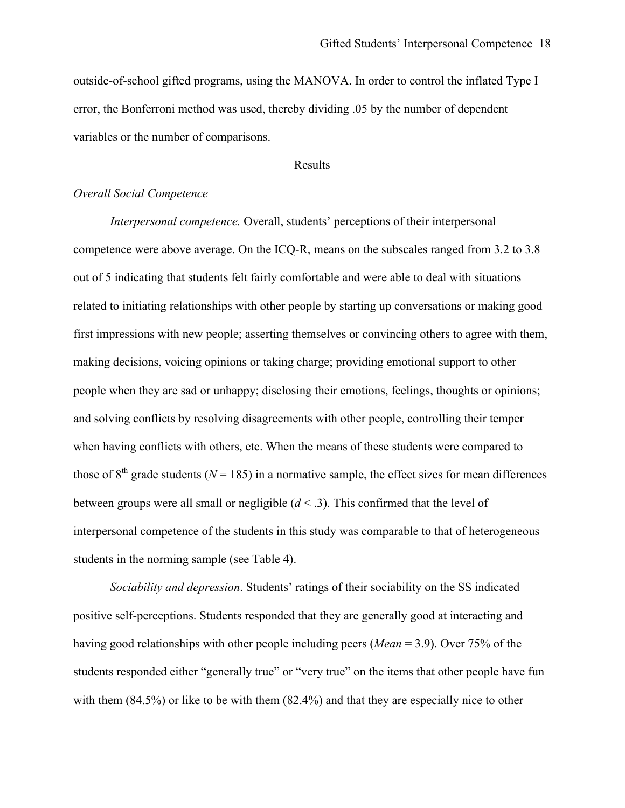outside-of-school gifted programs, using the MANOVA. In order to control the inflated Type I error, the Bonferroni method was used, thereby dividing .05 by the number of dependent variables or the number of comparisons.

### Results

# *Overall Social Competence*

 people when they are sad or unhappy; disclosing their emotions, feelings, thoughts or opinions; students in the norming sample (see Table 4). *Interpersonal competence.* Overall, students' perceptions of their interpersonal competence were above average. On the ICQ-R, means on the subscales ranged from 3.2 to 3.8 out of 5 indicating that students felt fairly comfortable and were able to deal with situations related to initiating relationships with other people by starting up conversations or making good first impressions with new people; asserting themselves or convincing others to agree with them, making decisions, voicing opinions or taking charge; providing emotional support to other and solving conflicts by resolving disagreements with other people, controlling their temper when having conflicts with others, etc. When the means of these students were compared to those of  $8<sup>th</sup>$  grade students ( $N = 185$ ) in a normative sample, the effect sizes for mean differences between groups were all small or negligible  $(d < .3)$ . This confirmed that the level of interpersonal competence of the students in this study was comparable to that of heterogeneous

*Sociability and depression*. Students' ratings of their sociability on the SS indicated positive self-perceptions. Students responded that they are generally good at interacting and having good relationships with other people including peers (*Mean* = 3.9). Over 75% of the students responded either "generally true" or "very true" on the items that other people have fun with them (84.5%) or like to be with them (82.4%) and that they are especially nice to other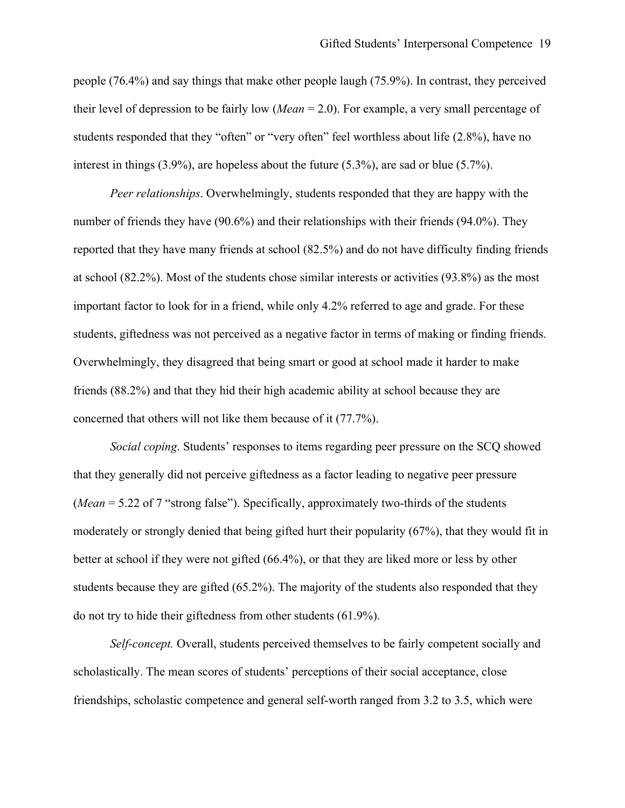people (76.4%) and say things that make other people laugh (75.9%). In contrast, they perceived their level of depression to be fairly low (*Mean* = 2.0). For example, a very small percentage of students responded that they "often" or "very often" feel worthless about life (2.8%), have no interest in things (3.9%), are hopeless about the future (5.3%), are sad or blue (5.7%).

*Peer relationships*. Overwhelmingly, students responded that they are happy with the number of friends they have (90.6%) and their relationships with their friends (94.0%). They reported that they have many friends at school (82.5%) and do not have difficulty finding friends at school (82.2%). Most of the students chose similar interests or activities (93.8%) as the most important factor to look for in a friend, while only 4.2% referred to age and grade. For these students, giftedness was not perceived as a negative factor in terms of making or finding friends. Overwhelmingly, they disagreed that being smart or good at school made it harder to make friends (88.2%) and that they hid their high academic ability at school because they are concerned that others will not like them because of it (77.7%).

*Social coping*. Students' responses to items regarding peer pressure on the SCQ showed that they generally did not perceive giftedness as a factor leading to negative peer pressure (*Mean* = 5.22 of 7 "strong false"). Specifically, approximately two-thirds of the students moderately or strongly denied that being gifted hurt their popularity (67%), that they would fit in better at school if they were not gifted (66.4%), or that they are liked more or less by other students because they are gifted (65.2%). The majority of the students also responded that they do not try to hide their giftedness from other students (61.9%).

*Self-concept.* Overall, students perceived themselves to be fairly competent socially and scholastically. The mean scores of students' perceptions of their social acceptance, close friendships, scholastic competence and general self-worth ranged from 3.2 to 3.5, which were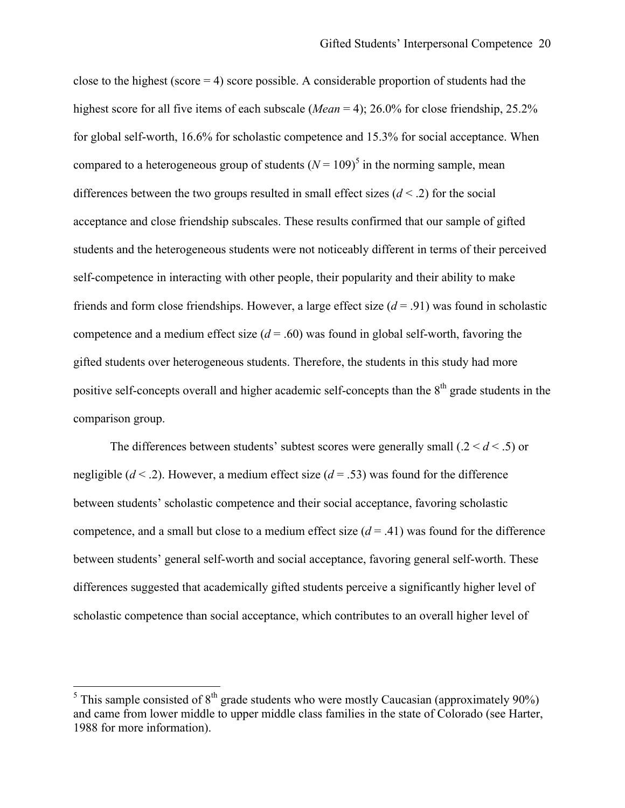close to the highest (score  $= 4$ ) score possible. A considerable proportion of students had the highest score for all five items of each subscale (*Mean* = 4); 26.0% for close friendship, 25.2% for global self-worth, 16.6% for scholastic competence and 15.3% for social acceptance. When compared to a heterogeneous group of students  $(N = 109)^5$  in the norming sample, mean differences between the two groups resulted in small effect sizes (*d* < .2) for the social acceptance and close friendship subscales. These results confirmed that our sample of gifted students and the heterogeneous students were not noticeably different in terms of their perceived self-competence in interacting with other people, their popularity and their ability to make friends and form close friendships. However, a large effect size (*d* = .91) was found in scholastic competence and a medium effect size  $(d = .60)$  was found in global self-worth, favoring the gifted students over heterogeneous students. Therefore, the students in this study had more positive self-concepts overall and higher academic self-concepts than the  $8<sup>th</sup>$  grade students in the comparison group.

The differences between students' subtest scores were generally small (.2 < *d* < .5) or negligible (*d* < .2). However, a medium effect size (*d* = .53) was found for the difference between students' scholastic competence and their social acceptance, favoring scholastic competence, and a small but close to a medium effect size  $(d = .41)$  was found for the difference between students' general self-worth and social acceptance, favoring general self-worth. These differences suggested that academically gifted students perceive a significantly higher level of scholastic competence than social acceptance, which contributes to an overall higher level of

 $\overline{a}$ 

<sup>&</sup>lt;sup>5</sup> This sample consisted of  $8<sup>th</sup>$  grade students who were mostly Caucasian (approximately 90%) and came from lower middle to upper middle class families in the state of Colorado (see Harter, 1988 for more information).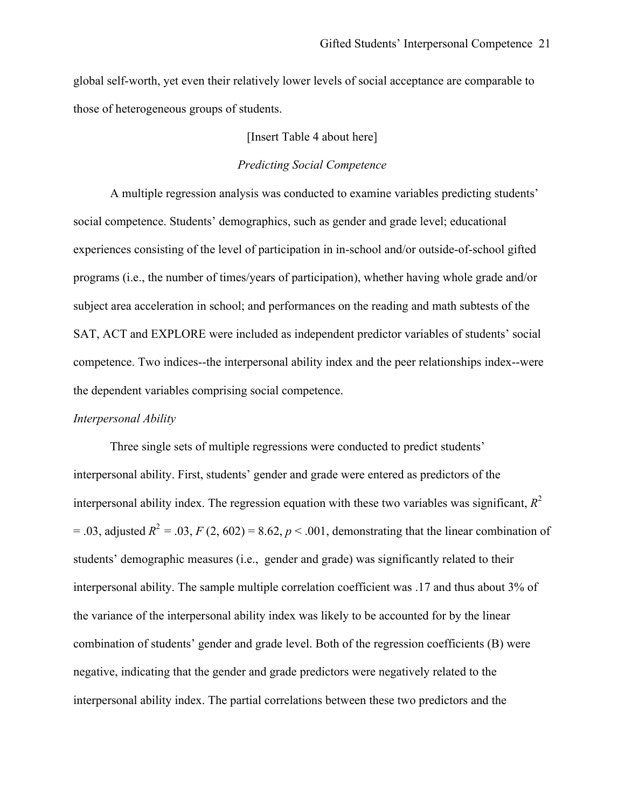global self-worth, yet even their relatively lower levels of social acceptance are comparable to those of heterogeneous groups of students.

#### [Insert Table 4 about here]

# *Predicting Social Competence*

A multiple regression analysis was conducted to examine variables predicting students' social competence. Students' demographics, such as gender and grade level; educational experiences consisting of the level of participation in in-school and/or outside-of-school gifted programs (i.e., the number of times/years of participation), whether having whole grade and/or subject area acceleration in school; and performances on the reading and math subtests of the SAT, ACT and EXPLORE were included as independent predictor variables of students' social competence. Two indices--the interpersonal ability index and the peer relationships index--were the dependent variables comprising social competence.

#### *Interpersonal Ability*

Three single sets of multiple regressions were conducted to predict students' interpersonal ability. First, students' gender and grade were entered as predictors of the interpersonal ability index. The regression equation with these two variables was significant,  $R^2$  $= .03$ , adjusted  $R^2 = .03$ ,  $F(2, 602) = 8.62$ ,  $p < .001$ , demonstrating that the linear combination of students' demographic measures (i.e., gender and grade) was significantly related to their interpersonal ability. The sample multiple correlation coefficient was .17 and thus about 3% of the variance of the interpersonal ability index was likely to be accounted for by the linear combination of students' gender and grade level. Both of the regression coefficients (B) were negative, indicating that the gender and grade predictors were negatively related to the interpersonal ability index. The partial correlations between these two predictors and the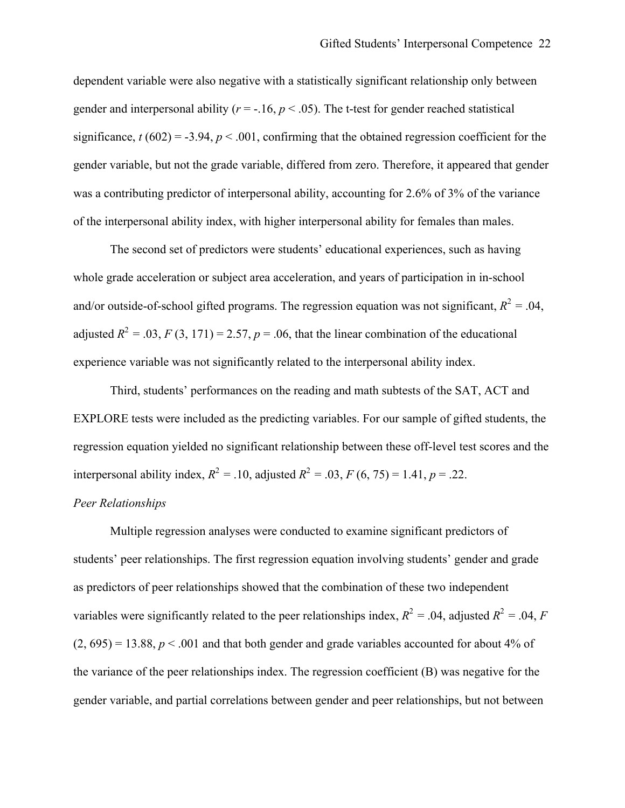dependent variable were also negative with a statistically significant relationship only between gender and interpersonal ability ( $r = -16$ ,  $p < 0.05$ ). The t-test for gender reached statistical significance,  $t (602) = -3.94$ ,  $p < .001$ , confirming that the obtained regression coefficient for the gender variable, but not the grade variable, differed from zero. Therefore, it appeared that gender was a contributing predictor of interpersonal ability, accounting for 2.6% of 3% of the variance of the interpersonal ability index, with higher interpersonal ability for females than males.

The second set of predictors were students' educational experiences, such as having whole grade acceleration or subject area acceleration, and years of participation in in-school and/or outside-of-school gifted programs. The regression equation was not significant,  $R^2 = .04$ , adjusted  $R^2 = .03$ ,  $F(3, 171) = 2.57$ ,  $p = .06$ , that the linear combination of the educational experience variable was not significantly related to the interpersonal ability index.

Third, students' performances on the reading and math subtests of the SAT, ACT and EXPLORE tests were included as the predicting variables. For our sample of gifted students, the regression equation yielded no significant relationship between these off-level test scores and the interpersonal ability index,  $R^2 = .10$ , adjusted  $R^2 = .03$ ,  $F (6, 75) = 1.41$ ,  $p = .22$ .

# *Peer Relationships*

Multiple regression analyses were conducted to examine significant predictors of students' peer relationships. The first regression equation involving students' gender and grade as predictors of peer relationships showed that the combination of these two independent variables were significantly related to the peer relationships index,  $R^2 = .04$ , adjusted  $R^2 = .04$ , *F*  $(2, 695) = 13.88$ ,  $p < .001$  and that both gender and grade variables accounted for about 4% of the variance of the peer relationships index. The regression coefficient (B) was negative for the gender variable, and partial correlations between gender and peer relationships, but not between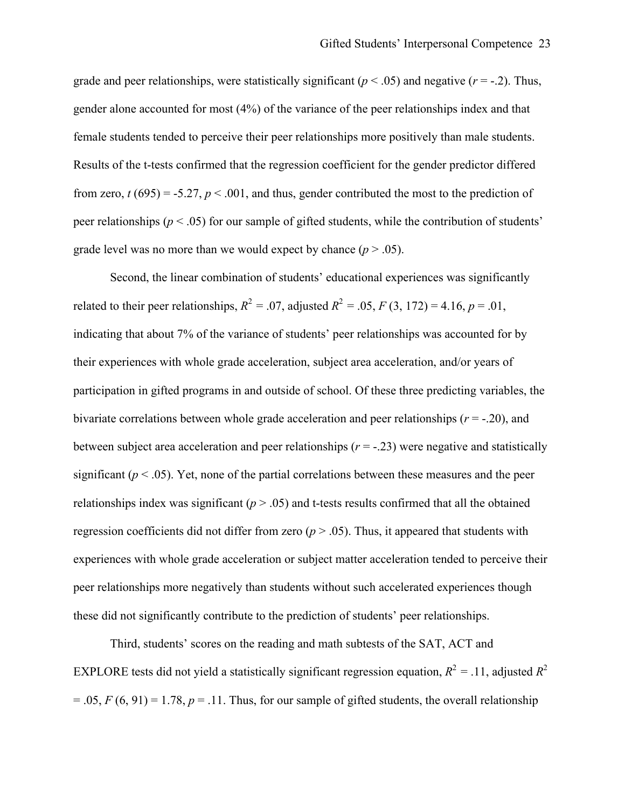grade level was no more than we would expect by chance  $(p > .05)$ . grade and peer relationships, were statistically significant ( $p < .05$ ) and negative ( $r = .2$ ). Thus, gender alone accounted for most (4%) of the variance of the peer relationships index and that female students tended to perceive their peer relationships more positively than male students. Results of the t-tests confirmed that the regression coefficient for the gender predictor differed from zero,  $t (695) = -5.27$ ,  $p < .001$ , and thus, gender contributed the most to the prediction of peer relationships ( $p < .05$ ) for our sample of gifted students, while the contribution of students'

regression coefficients did not differ from zero  $(p > .05)$ . Thus, it appeared that students with Second, the linear combination of students' educational experiences was significantly related to their peer relationships,  $R^2 = .07$ , adjusted  $R^2 = .05$ ,  $F(3, 172) = 4.16$ ,  $p = .01$ , indicating that about 7% of the variance of students' peer relationships was accounted for by their experiences with whole grade acceleration, subject area acceleration, and/or years of participation in gifted programs in and outside of school. Of these three predicting variables, the bivariate correlations between whole grade acceleration and peer relationships (*r* = -.20), and between subject area acceleration and peer relationships  $(r = -0.23)$  were negative and statistically significant  $(p < .05)$ . Yet, none of the partial correlations between these measures and the peer relationships index was significant  $(p > .05)$  and t-tests results confirmed that all the obtained experiences with whole grade acceleration or subject matter acceleration tended to perceive their peer relationships more negatively than students without such accelerated experiences though these did not significantly contribute to the prediction of students' peer relationships.

Third, students' scores on the reading and math subtests of the SAT, ACT and EXPLORE tests did not yield a statistically significant regression equation,  $R^2 = .11$ , adjusted  $R^2$  $= .05, F(6, 91) = 1.78, p = .11$ . Thus, for our sample of gifted students, the overall relationship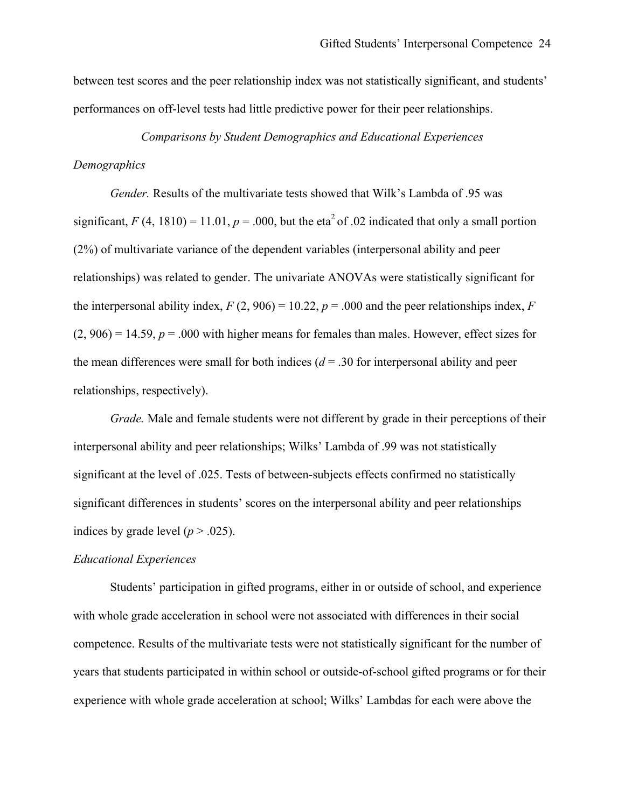between test scores and the peer relationship index was not statistically significant, and students' performances on off-level tests had little predictive power for their peer relationships.

# *Comparisons by Student Demographics and Educational Experiences*

#### *Demographics*

*Gender.* Results of the multivariate tests showed that Wilk's Lambda of .95 was significant,  $F(4, 1810) = 11.01$ ,  $p = .000$ , but the eta<sup>2</sup> of .02 indicated that only a small portion (2%) of multivariate variance of the dependent variables (interpersonal ability and peer relationships) was related to gender. The univariate ANOVAs were statistically significant for the interpersonal ability index,  $F(2, 906) = 10.22$ ,  $p = .000$  and the peer relationships index,  $F($  $(2, 906) = 14.59$ ,  $p = .000$  with higher means for females than males. However, effect sizes for the mean differences were small for both indices  $(d = .30$  for interpersonal ability and peer relationships, respectively).

*Grade.* Male and female students were not different by grade in their perceptions of their interpersonal ability and peer relationships; Wilks' Lambda of .99 was not statistically significant at the level of .025. Tests of between-subjects effects confirmed no statistically significant differences in students' scores on the interpersonal ability and peer relationships indices by grade level ( $p > .025$ ).

#### *Educational Experiences*

Students' participation in gifted programs, either in or outside of school, and experience with whole grade acceleration in school were not associated with differences in their social competence. Results of the multivariate tests were not statistically significant for the number of years that students participated in within school or outside-of-school gifted programs or for their experience with whole grade acceleration at school; Wilks' Lambdas for each were above the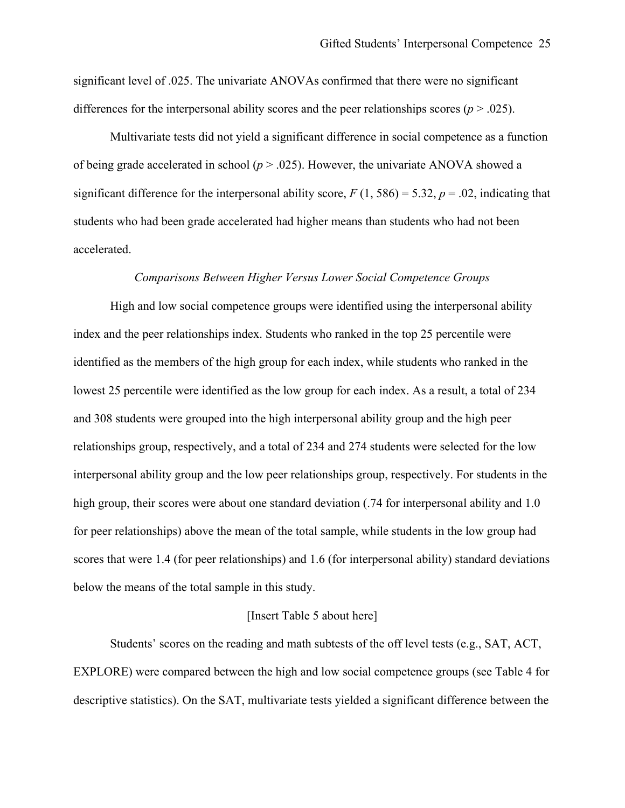differences for the interpersonal ability scores and the peer relationships scores ( $p > .025$ ). significant level of .025. The univariate ANOVAs confirmed that there were no significant

Multivariate tests did not yield a significant difference in social competence as a function of being grade accelerated in school  $(p > .025)$ . However, the univariate ANOVA showed a significant difference for the interpersonal ability score,  $F(1, 586) = 5.32$ ,  $p = .02$ , indicating that students who had been grade accelerated had higher means than students who had not been accelerated.

#### *Comparisons Between Higher Versus Lower Social Competence Groups*

High and low social competence groups were identified using the interpersonal ability index and the peer relationships index. Students who ranked in the top 25 percentile were identified as the members of the high group for each index, while students who ranked in the lowest 25 percentile were identified as the low group for each index. As a result, a total of 234 and 308 students were grouped into the high interpersonal ability group and the high peer relationships group, respectively, and a total of 234 and 274 students were selected for the low interpersonal ability group and the low peer relationships group, respectively. For students in the high group, their scores were about one standard deviation (.74 for interpersonal ability and 1.0 for peer relationships) above the mean of the total sample, while students in the low group had scores that were 1.4 (for peer relationships) and 1.6 (for interpersonal ability) standard deviations below the means of the total sample in this study.

### [Insert Table 5 about here]

 descriptive statistics). On the SAT, multivariate tests yielded a significant difference between the Students' scores on the reading and math subtests of the off level tests (e.g., SAT, ACT, EXPLORE) were compared between the high and low social competence groups (see Table 4 for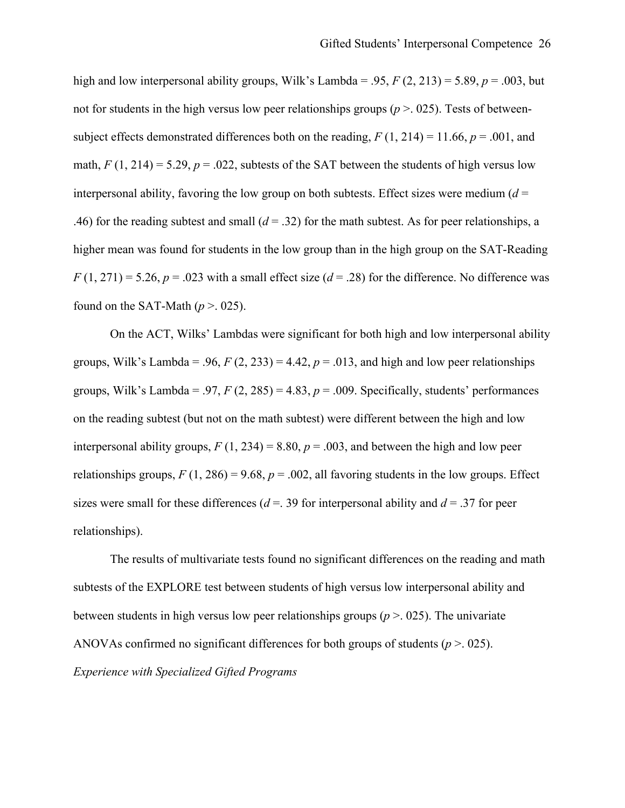high and low interpersonal ability groups, Wilk's Lambda = .95, *F* (2, 213) = 5.89, *p* = .003, but math,  $F(1, 214) = 5.29$ ,  $p = 0.022$ , subtests of the SAT between the students of high versus low  $F(1, 271) = 5.26$ ,  $p = .023$  with a small effect size ( $d = .28$ ) for the difference. No difference was found on the SAT-Math  $(p > 0.025)$ . not for students in the high versus low peer relationships groups ( $p > 0.025$ ). Tests of betweensubject effects demonstrated differences both on the reading,  $F(1, 214) = 11.66$ ,  $p = .001$ , and interpersonal ability, favoring the low group on both subtests. Effect sizes were medium  $(d =$ .46) for the reading subtest and small  $(d = .32)$  for the math subtest. As for peer relationships, a higher mean was found for students in the low group than in the high group on the SAT-Reading

On the ACT, Wilks' Lambdas were significant for both high and low interpersonal ability groups, Wilk's Lambda = .96,  $F(2, 233) = 4.42$ ,  $p = .013$ , and high and low peer relationships groups, Wilk's Lambda = .97,  $F(2, 285) = 4.83$ ,  $p = .009$ . Specifically, students' performances on the reading subtest (but not on the math subtest) were different between the high and low interpersonal ability groups,  $F(1, 234) = 8.80$ ,  $p = .003$ , and between the high and low peer relationships groups,  $F(1, 286) = 9.68$ ,  $p = .002$ , all favoring students in the low groups. Effect sizes were small for these differences ( $d = 0.39$  for interpersonal ability and  $d = 0.37$  for peer relationships).

 ANOVAs confirmed no significant differences for both groups of students (*p* >. 025). The results of multivariate tests found no significant differences on the reading and math subtests of the EXPLORE test between students of high versus low interpersonal ability and between students in high versus low peer relationships groups ( $p > 0.025$ ). The univariate *Experience with Specialized Gifted Programs*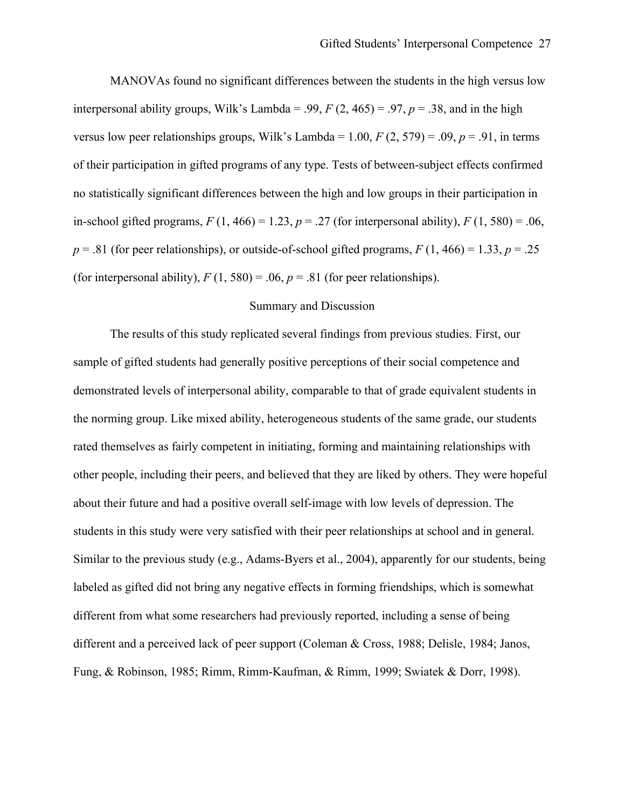MANOVAs found no significant differences between the students in the high versus low of their participation in gifted programs of any type. Tests of between-subject effects confirmed in-school gifted programs,  $F(1, 466) = 1.23$ ,  $p = .27$  (for interpersonal ability),  $F(1, 580) = .06$ ,  $p = .81$  (for peer relationships), or outside-of-school gifted programs,  $F(1, 466) = 1.33$ ,  $p = .25$ (for interpersonal ability),  $F(1, 580) = .06$ ,  $p = .81$  (for peer relationships). interpersonal ability groups, Wilk's Lambda = .99,  $F(2, 465) = .97$ ,  $p = .38$ , and in the high versus low peer relationships groups, Wilk's Lambda =  $1.00$ ,  $F(2, 579) = .09$ ,  $p = .91$ , in terms no statistically significant differences between the high and low groups in their participation in

### Summary and Discussion

 sample of gifted students had generally positive perceptions of their social competence and the norming group. Like mixed ability, heterogeneous students of the same grade, our students about their future and had a positive overall self-image with low levels of depression. The students in this study were very satisfied with their peer relationships at school and in general. labeled as gifted did not bring any negative effects in forming friendships, which is somewhat The results of this study replicated several findings from previous studies. First, our demonstrated levels of interpersonal ability, comparable to that of grade equivalent students in rated themselves as fairly competent in initiating, forming and maintaining relationships with other people, including their peers, and believed that they are liked by others. They were hopeful Similar to the previous study (e.g., Adams-Byers et al., 2004), apparently for our students, being different from what some researchers had previously reported, including a sense of being different and a perceived lack of peer support (Coleman & Cross, 1988; Delisle, 1984; Janos, Fung, & Robinson, 1985; Rimm, Rimm-Kaufman, & Rimm, 1999; Swiatek & Dorr, 1998).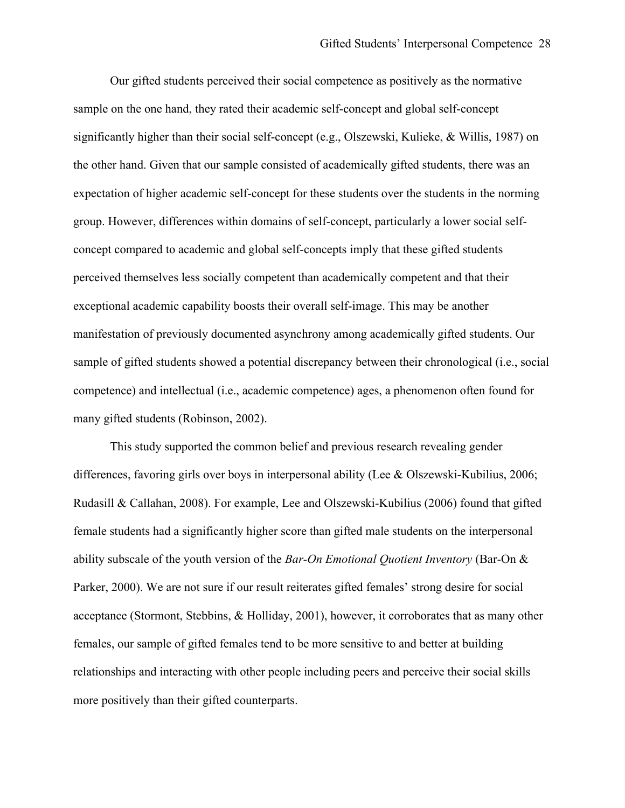Our gifted students perceived their social competence as positively as the normative concept compared to academic and global self-concepts imply that these gifted students perceived themselves less socially competent than academically competent and that their exceptional academic capability boosts their overall self-image. This may be another manifestation of previously documented asynchrony among academically gifted students. Our sample of gifted students showed a potential discrepancy between their chronological (i.e., social sample on the one hand, they rated their academic self-concept and global self-concept significantly higher than their social self-concept (e.g., Olszewski, Kulieke, & Willis, 1987) on the other hand. Given that our sample consisted of academically gifted students, there was an expectation of higher academic self-concept for these students over the students in the norming group. However, differences within domains of self-concept, particularly a lower social selfcompetence) and intellectual (i.e., academic competence) ages, a phenomenon often found for many gifted students (Robinson, 2002).

differences, favoring girls over boys in interpersonal ability (Lee & Olszewski-Kubilius, 2006; ability subscale of the youth version of the *Bar-On Emotional Quotient Inventory* (Bar-On & This study supported the common belief and previous research revealing gender Rudasill & Callahan, 2008). For example, Lee and Olszewski-Kubilius (2006) found that gifted female students had a significantly higher score than gifted male students on the interpersonal Parker, 2000). We are not sure if our result reiterates gifted females' strong desire for social acceptance (Stormont, Stebbins, & Holliday, 2001), however, it corroborates that as many other females, our sample of gifted females tend to be more sensitive to and better at building relationships and interacting with other people including peers and perceive their social skills more positively than their gifted counterparts.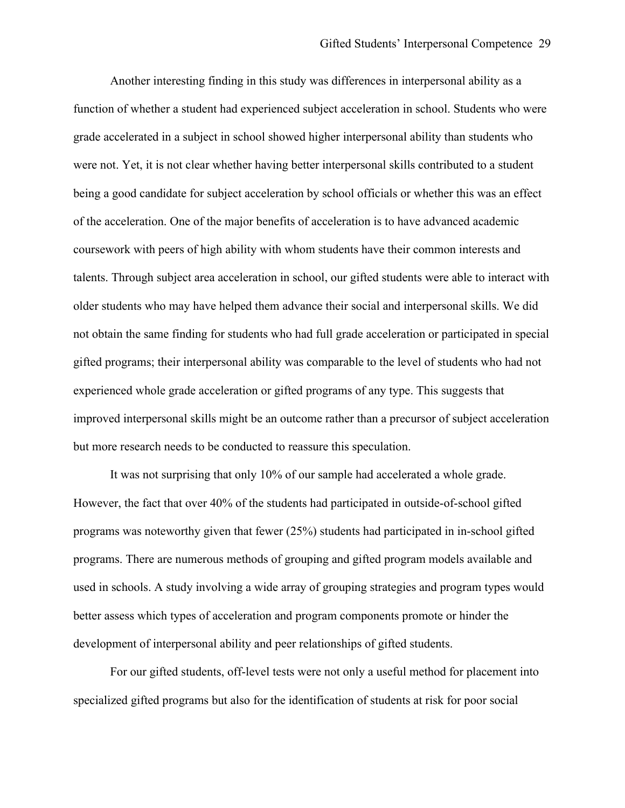Another interesting finding in this study was differences in interpersonal ability as a grade accelerated in a subject in school showed higher interpersonal ability than students who of the acceleration. One of the major benefits of acceleration is to have advanced academic coursework with peers of high ability with whom students have their common interests and older students who may have helped them advance their social and interpersonal skills. We did not obtain the same finding for students who had full grade acceleration or participated in special function of whether a student had experienced subject acceleration in school. Students who were were not. Yet, it is not clear whether having better interpersonal skills contributed to a student being a good candidate for subject acceleration by school officials or whether this was an effect talents. Through subject area acceleration in school, our gifted students were able to interact with gifted programs; their interpersonal ability was comparable to the level of students who had not experienced whole grade acceleration or gifted programs of any type. This suggests that improved interpersonal skills might be an outcome rather than a precursor of subject acceleration but more research needs to be conducted to reassure this speculation.

 programs. There are numerous methods of grouping and gifted program models available and It was not surprising that only 10% of our sample had accelerated a whole grade. However, the fact that over 40% of the students had participated in outside-of-school gifted programs was noteworthy given that fewer (25%) students had participated in in-school gifted used in schools. A study involving a wide array of grouping strategies and program types would better assess which types of acceleration and program components promote or hinder the development of interpersonal ability and peer relationships of gifted students.

For our gifted students, off-level tests were not only a useful method for placement into specialized gifted programs but also for the identification of students at risk for poor social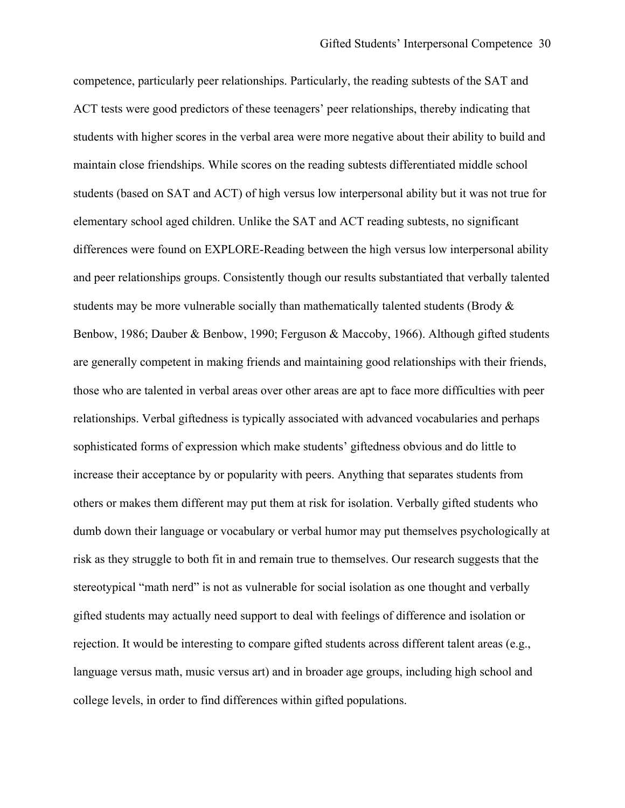students with higher scores in the verbal area were more negative about their ability to build and and peer relationships groups. Consistently though our results substantiated that verbally talented students may be more vulnerable socially than mathematically talented students (Brody  $\&$  sophisticated forms of expression which make students' giftedness obvious and do little to increase their acceptance by or popularity with peers. Anything that separates students from risk as they struggle to both fit in and remain true to themselves. Our research suggests that the stereotypical "math nerd" is not as vulnerable for social isolation as one thought and verbally rejection. It would be interesting to compare gifted students across different talent areas (e.g., language versus math, music versus art) and in broader age groups, including high school and competence, particularly peer relationships. Particularly, the reading subtests of the SAT and ACT tests were good predictors of these teenagers' peer relationships, thereby indicating that maintain close friendships. While scores on the reading subtests differentiated middle school students (based on SAT and ACT) of high versus low interpersonal ability but it was not true for elementary school aged children. Unlike the SAT and ACT reading subtests, no significant differences were found on EXPLORE-Reading between the high versus low interpersonal ability Benbow, 1986; Dauber & Benbow, 1990; Ferguson & Maccoby, 1966). Although gifted students are generally competent in making friends and maintaining good relationships with their friends, those who are talented in verbal areas over other areas are apt to face more difficulties with peer relationships. Verbal giftedness is typically associated with advanced vocabularies and perhaps others or makes them different may put them at risk for isolation. Verbally gifted students who dumb down their language or vocabulary or verbal humor may put themselves psychologically at gifted students may actually need support to deal with feelings of difference and isolation or college levels, in order to find differences within gifted populations.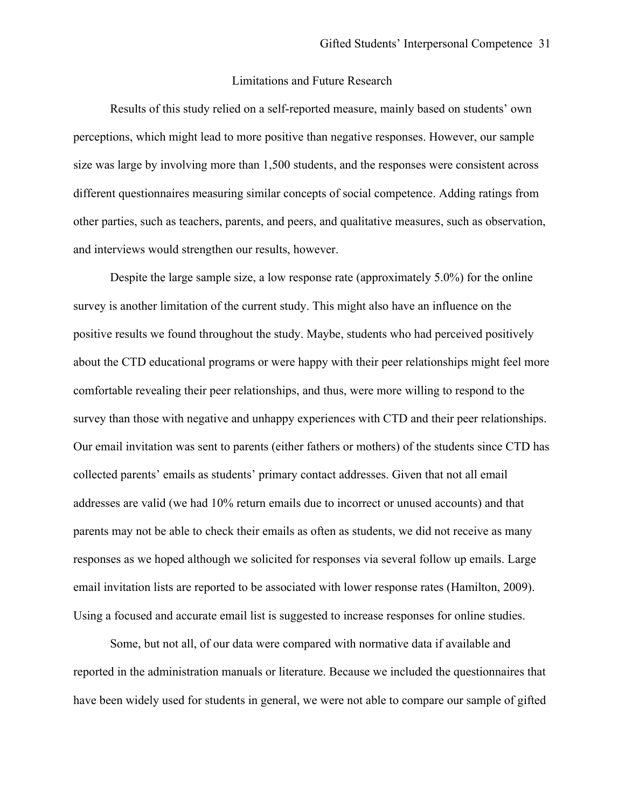# Limitations and Future Research

Results of this study relied on a self-reported measure, mainly based on students' own perceptions, which might lead to more positive than negative responses. However, our sample size was large by involving more than 1,500 students, and the responses were consistent across different questionnaires measuring similar concepts of social competence. Adding ratings from other parties, such as teachers, parents, and peers, and qualitative measures, such as observation, and interviews would strengthen our results, however.

 survey is another limitation of the current study. This might also have an influence on the positive results we found throughout the study. Maybe, students who had perceived positively collected parents' emails as students' primary contact addresses. Given that not all email addresses are valid (we had 10% return emails due to incorrect or unused accounts) and that Despite the large sample size, a low response rate (approximately 5.0%) for the online about the CTD educational programs or were happy with their peer relationships might feel more comfortable revealing their peer relationships, and thus, were more willing to respond to the survey than those with negative and unhappy experiences with CTD and their peer relationships. Our email invitation was sent to parents (either fathers or mothers) of the students since CTD has parents may not be able to check their emails as often as students, we did not receive as many responses as we hoped although we solicited for responses via several follow up emails. Large email invitation lists are reported to be associated with lower response rates (Hamilton, 2009). Using a focused and accurate email list is suggested to increase responses for online studies.

 Some, but not all, of our data were compared with normative data if available and reported in the administration manuals or literature. Because we included the questionnaires that have been widely used for students in general, we were not able to compare our sample of gifted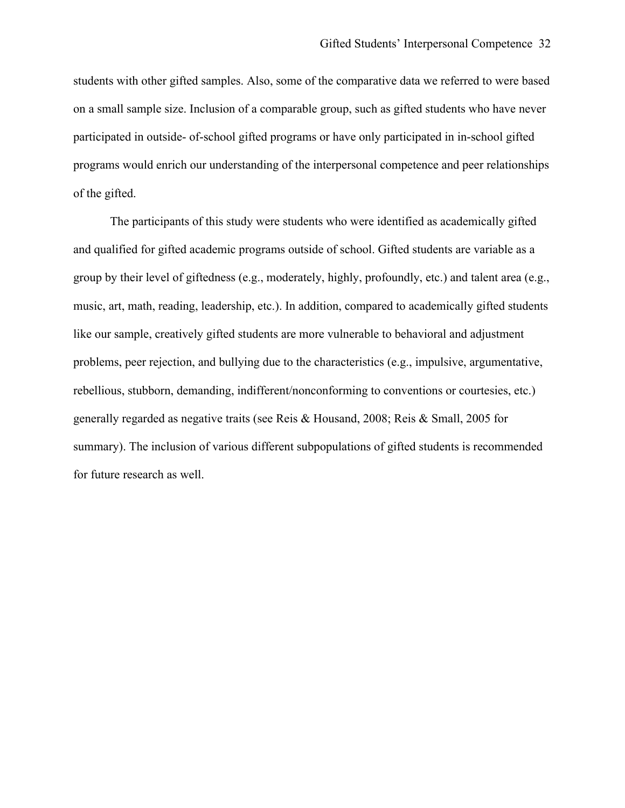programs would enrich our understanding of the interpersonal competence and peer relationships students with other gifted samples. Also, some of the comparative data we referred to were based on a small sample size. Inclusion of a comparable group, such as gifted students who have never participated in outside- of-school gifted programs or have only participated in in-school gifted of the gifted.

 and qualified for gifted academic programs outside of school. Gifted students are variable as a group by their level of giftedness (e.g., moderately, highly, profoundly, etc.) and talent area (e.g., for future research as well. The participants of this study were students who were identified as academically gifted music, art, math, reading, leadership, etc.). In addition, compared to academically gifted students like our sample, creatively gifted students are more vulnerable to behavioral and adjustment problems, peer rejection, and bullying due to the characteristics (e.g., impulsive, argumentative, rebellious, stubborn, demanding, indifferent/nonconforming to conventions or courtesies, etc.) generally regarded as negative traits (see Reis & Housand, 2008; Reis & Small, 2005 for summary). The inclusion of various different subpopulations of gifted students is recommended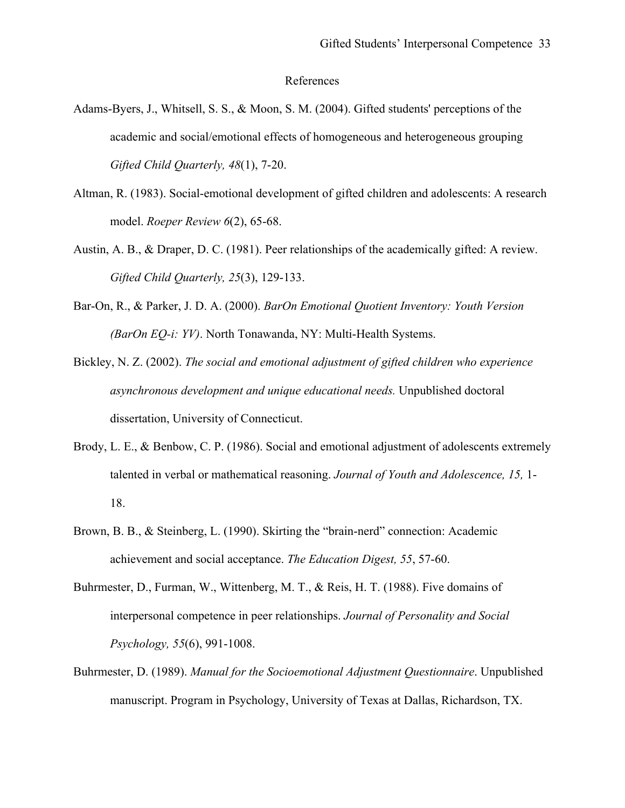### References

- Adams-Byers, J., Whitsell, S. S., & Moon, S. M. (2004). Gifted students' perceptions of the Adams-Byers, J., Whitsell, S. S., & Moon, S. M. (2004). Gifted students' perceptions of the academic and social/emotional effects of homogeneous and heterogeneous grouping *Gifted Child Quarterly, 48*(1), 7-20.
- Altman, R. (1983). Social-emotional development of gifted children and adolescents: A research model. *Roeper Review 6*(2), 65-68.
- Austin, A. B., & Draper, D. C. (1981). Peer relationships of the academically gifted: A review. *Gifted Child Quarterly, 25*(3), 129-133.
- Bar-On, R., & Parker, J. D. A. (2000). *BarOn Emotional Quotient Inventory: Youth Version (BarOn EQ-i: YV)*. North Tonawanda, NY: Multi-Health Systems.
- *asynchronous development and unique educational needs.* Unpublished doctoral dissertation, University of Connecticut. Bickley, N. Z. (2002). *The social and emotional adjustment of gifted children who experience*
- talented in verbal or mathematical reasoning. *Journal of Youth and Adolescence, 15,* 1- Brody, L. E., & Benbow, C. P. (1986). Social and emotional adjustment of adolescents extremely 18.
- Brown, B. B., & Steinberg, L. (1990). Skirting the "brain-nerd" connection: Academic achievement and social acceptance. *The Education Digest, 55*, 57-60.
- Buhrmester, D., Furman, W., Wittenberg, M. T., & Reis, H. T. (1988). Five domains of interpersonal competence in peer relationships. *Journal of Personality and Social Psychology, 55*(6), 991-1008.
- Buhrmester, D. (1989). *Manual for the Socioemotional Adjustment Questionnaire*. Unpublished manuscript. Program in Psychology, University of Texas at Dallas, Richardson, TX.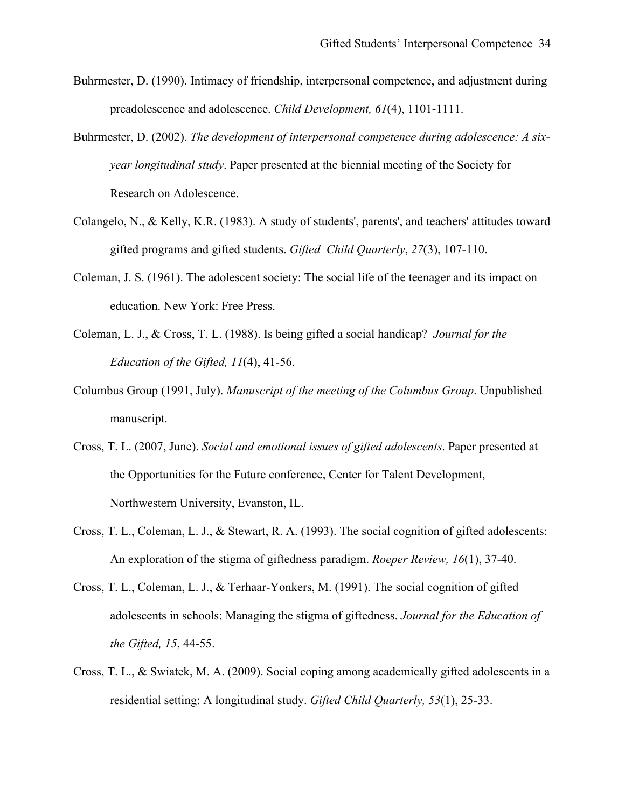- Buhrmester, D. (1990). Intimacy of friendship, interpersonal competence, and adjustment during preadolescence and adolescence. *Child Development, 61*(4), 1101-1111.
- Buhrmester, D. (2002). *The development of interpersonal competence during adolescence: A sixyear longitudinal study*. Paper presented at the biennial meeting of the Society for Research on Adolescence.
- Colangelo, N., & Kelly, K.R. (1983). A study of students', parents', and teachers' attitudes toward gifted programs and gifted students. *Gifted Child Quarterly*, *27*(3), 107-110.
- Coleman, J. S. (1961). The adolescent society: The social life of the teenager and its impact on education. New York: Free Press.
- Coleman, L. J., & Cross, T. L. (1988). Is being gifted a social handicap? *Journal for the Education of the Gifted, 11*(4), 41-56.
- Columbus Group (1991, July). *Manuscript of the meeting of the Columbus Group*. Unpublished manuscript.
- Cross, T. L. (2007, June). *Social and emotional issues of gifted adolescents*. Paper presented at the Opportunities for the Future conference, Center for Talent Development, Northwestern University, Evanston, IL.
- Cross, T. L., Coleman, L. J., & Stewart, R. A. (1993). The social cognition of gifted adolescents: An exploration of the stigma of giftedness paradigm. *Roeper Review, 16*(1), 37-40.
- adolescents in schools: Managing the stigma of giftedness. *Journal for the Education of*<br>the Gifted, 15, 44-55. Cross, T. L., Coleman, L. J., & Terhaar-Yonkers, M. (1991). The social cognition of gifted
- Cross, T. L., & Swiatek, M. A. (2009). Social coping among academically gifted adolescents in a residential setting: A longitudinal study. *Gifted Child Quarterly, 53*(1), 25-33.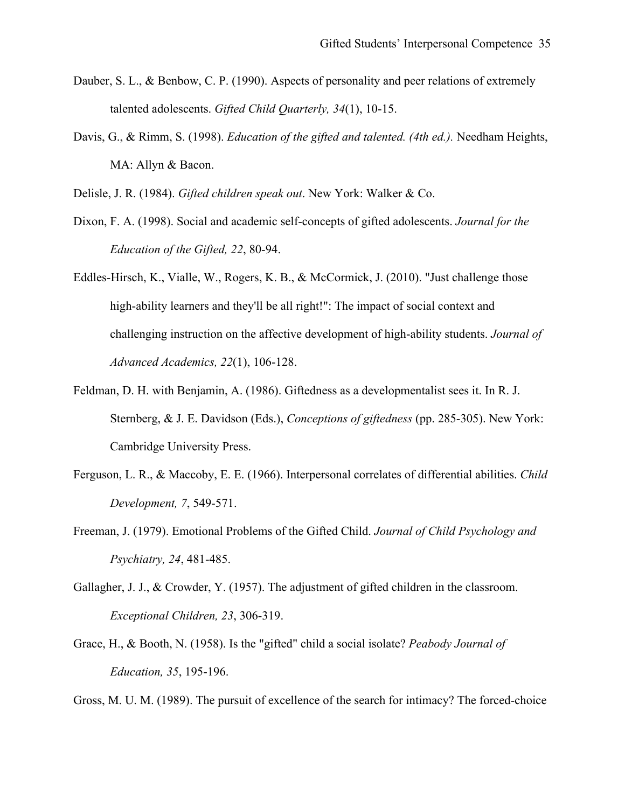- talented adolescents. *Gifted Child Quarterly, 34*(1), 10-15. Dauber, S. L., & Benbow, C. P. (1990). Aspects of personality and peer relations of extremely
- Davis, G., & Rimm, S. (1998). *Education of the gifted and talented. (4th ed.).* Needham Heights, MA: Allyn & Bacon.

Delisle, J. R. (1984). *Gifted children speak out*. New York: Walker & Co.

- Dixon, F. A. (1998). Social and academic self-concepts of gifted adolescents. *Journal for the Education of the Gifted, 22*, 80-94.
- Eddles-Hirsch, K., Vialle, W., Rogers, K. B., & McCormick, J. (2010). "Just challenge those high-ability learners and they'll be all right!": The impact of social context and *challenging instruction on the affective development of high-ability students. <i>Journal of Advanced Academics, 22*(1), 106-128.
- Feldman, D. H. with Benjamin, A. (1986). Giftedness as a developmentalist sees it. In R. J. Sternberg, & J. E. Davidson (Eds.), *Conceptions of giftedness* (pp. 285-305). New York: Cambridge University Press.
- Ferguson, L. R., & Maccoby, E. E. (1966). Interpersonal correlates of differential abilities. *Child Development, 7*, 549-571.
- Freeman, J. (1979). Emotional Problems of the Gifted Child. *Journal of Child Psychology and Psychiatry, 24*, 481-485.
- Gallagher, J. J., & Crowder, Y. (1957). The adjustment of gifted children in the classroom. *Exceptional Children, 23*, 306-319.
- Grace, H., & Booth, N. (1958). Is the "gifted" child a social isolate? *Peabody Journal of Education, 35*, 195-196.

Gross, M. U. M. (1989). The pursuit of excellence of the search for intimacy? The forced-choice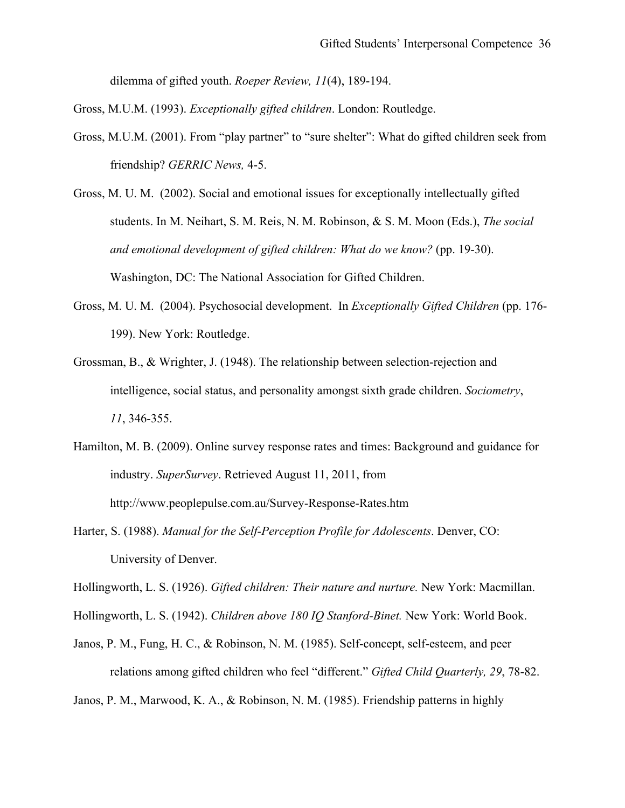dilemma of gifted youth. *Roeper Review, 11*(4), 189-194.

Gross, M.U.M. (1993). *Exceptionally gifted children*. London: Routledge.

- Gross, M.U.M. (2001). From "play partner" to "sure shelter": What do gifted children seek from friendship? *GERRIC News*, 4-5.
- students. In M. Neihart, S. M. Reis, N. M. Robinson, & S. M. Moon (Eds.), *The social and emotional development of gifted children: What do we know?* (pp. 19-30). Gross, M. U. M. (2002). Social and emotional issues for exceptionally intellectually gifted Washington, DC: The National Association for Gifted Children.
- Gross, M. U. M. (2004). Psychosocial development. In *Exceptionally Gifted Children* (pp. 176- 199). New York: Routledge. 199). New York: Routledge.<br>Grossman, B., & Wrighter, J. (1948). The relationship between selection-rejection and
- intelligence, social status, and personality amongst sixth grade children. *Sociometry*, *11*, 346-355.
- Hamilton, M. B. (2009). Online survey response rates and times: Background and guidance for industry. *SuperSurvey*. Retrieved August 11, 2011, from http://www.peoplepulse.com.au/Survey-Response-Rates.htm
- Harter, S. (1988). *Manual for the Self-Perception Profile for Adolescents*. Denver, CO: University of Denver.

Hollingworth, L. S. (1926). *Gifted children: Their nature and nurture.* New York: Macmillan.

Hollingworth, L. S. (1942). *Children above 180 IQ Stanford-Binet.* New York: World Book.

Janos, P. M., Fung, H. C., & Robinson, N. M. (1985). Self-concept, self-esteem, and peer relations among gifted children who feel "different." *Gifted Child Quarterly, 29*, 78-82.

Janos, P. M., Marwood, K. A., & Robinson, N. M. (1985). Friendship patterns in highly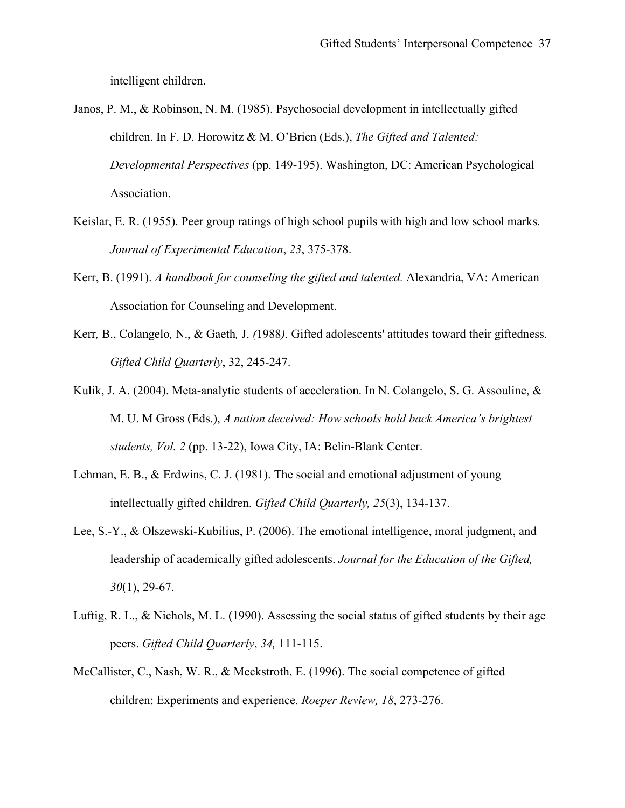intelligent children.

 *Developmental Perspectives* (pp. 149-195). Washington, DC: American Psychological Association. Janos, P. M., & Robinson, N. M. (1985). Psychosocial development in intellectually gifted children. In F. D. Horowitz & M. O'Brien (Eds.), *The Gifted and Talented:* 

- Keislar, E. R. (1955). Peer group ratings of high school pupils with high and low school marks. *Journal of Experimental Education*, *23*, 375-378.
- Kerr, B. (1991). *A handbook for counseling the gifted and talented.* Alexandria, VA: American Association for Counseling and Development.
- Kerr*,* B., Colangelo*,* N., & Gaeth*,* J. *(*1988*).* Gifted adolescents' attitudes toward their giftedness. *Gifted Child Quarterly*, 32, 245-247.
- Kulik, J. A. (2004). Meta-analytic students of acceleration. In N. Colangelo, S. G. Assouline,  $\&$ Kulik, J. A. (2004). Meta-analytic students of acceleration. In N. Colangelo, S. G. Assouline, &<br>M. U. M Gross (Eds.), A nation deceived: How schools hold back America's brightest<br>students, Vol. 2 (pp. 13-22), Iowa City, I
- Lehman, E. B., & Erdwins, C. J. (1981). The social and emotional adjustment of young intellectually gifted children. *Gifted Child Quarterly, 25*(3), 134-137.
- Lee, S.-Y., & Olszewski-Kubilius, P. (2006). The emotional intelligence, moral judgment, and leadership of academically gifted adolescents. *Journal for the Education of the Gifted, 30*(1), 29-67.
- Luftig, R. L., & Nichols, M. L. (1990). Assessing the social status of gifted students by their age peers. *Gifted Child Quarterly*, *34,* 111-115. peers. Gifted Child Quarterly, 34, 111-115.
- McCallister, C., Nash, W. R., & Meckstroth, E. (1996). The social competence of gifted children: Experiments and experience*. Roeper Review, 18*, 273-276.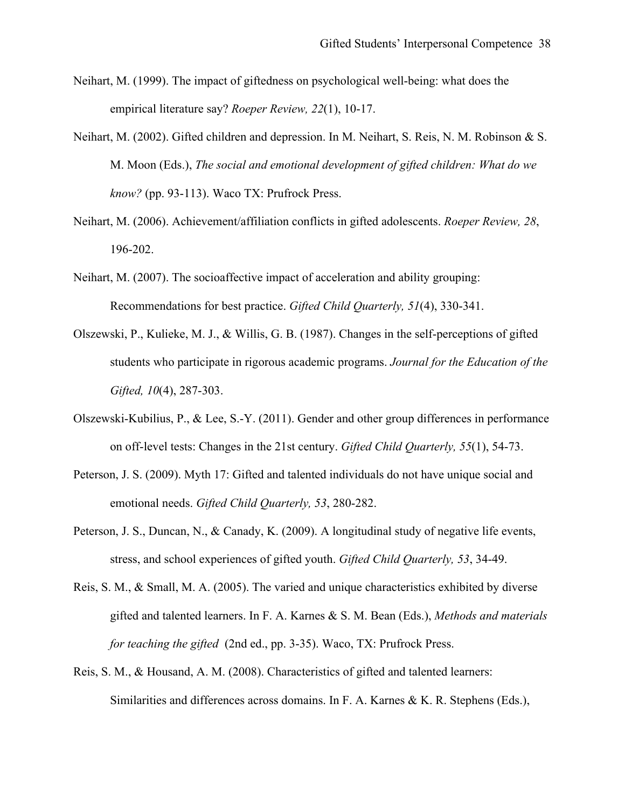- Neihart, M. (1999). The impact of giftedness on psychological well-being: what does the empirical literature say? *Roeper Review, 22*(1), 10-17.
- M. Moon (Eds.), *The social and emotional development of gifted children: What do we*<br>know? (pp. 93-113). Waco TX: Prufrock Press. Neihart, M. (2002). Gifted children and depression. In M. Neihart, S. Reis, N. M. Robinson & S.
- Neihart, M. (2006). Achievement/affiliation conflicts in gifted adolescents. *Roeper Review, 28*, 196-202.
- Neihart, M. (2007). The socioaffective impact of acceleration and ability grouping: Recommendations for best practice. *Gifted Child Quarterly, 51*(4), 330-341.
- students who participate in rigorous academic programs. *Journal for the Education of the Gifted, 10*(4), 287-303. Olszewski, P., Kulieke, M. J., & Willis, G. B. (1987). Changes in the self-perceptions of gifted
- Olszewski-Kubilius, P., & Lee, S.-Y. (2011). Gender and other group differences in performance on off-level tests: Changes in the 21st century. *Gifted Child Quarterly, 55*(1), 54-73.
- Peterson, J. S. (2009). Myth 17: Gifted and talented individuals do not have unique social and emotional needs. *Gifted Child Quarterly, 53*, 280-282.
- Peterson, J. S., Duncan, N., & Canady, K. (2009). A longitudinal study of negative life events, stress, and school experiences of gifted youth. *Gifted Child Quarterly, 53*, 34-49.
- Reis, S. M., & Small, M. A. (2005). The varied and unique characteristics exhibited by diverse Reis, S. M., & Small, M. A. (2005). The varied and unique characteristics exhibited by diverse<br>gifted and talented learners. In F. A. Karnes & S. M. Bean (Eds.), *Methods and materials*<br>for teaching the gifted (2nd ed., pp
- Reis, S. M., & Housand, A. M. (2008). Characteristics of gifted and talented learners:<br>Similarities and differences across domains. In F. A. Karnes & K. R. Stephens (Eds.),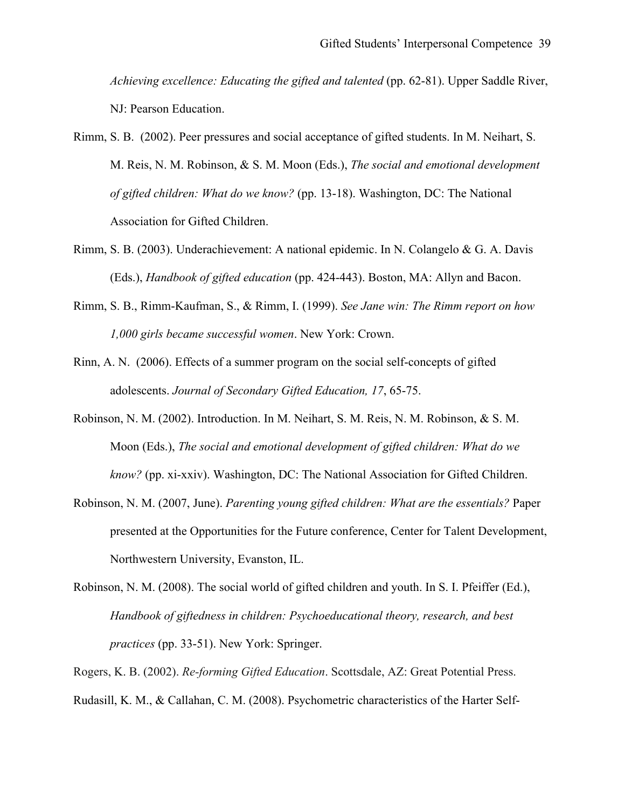*Achieving excellence: Educating the gifted and talented (pp. 62-81). Upper Saddle River,* NJ: Pearson Education.

- M. Reis, N. M. Robinson, & S. M. Moon (Eds.), *The social and emotional development*  M. Reis, N. M. Robinson, & S. M. Moon (Eds.), *The social and emotional development of gifted children: What do we know?* (pp. 13-18). Washington, DC: The National Rimm, S. B. (2002). Peer pressures and social acceptance of gifted students. In M. Neihart, S. Association for Gifted Children.
- Rimm, S. B. (2003). Underachievement: A national epidemic. In N. Colangelo & G. A. Davis (Eds.), *Handbook of gifted education* (pp. 424-443). Boston, MA: Allyn and Bacon.
- Rimm, S. B., Rimm-Kaufman, S., & Rimm, I. (1999). *See Jane win: The Rimm report on how 1,000 girls became successful women*. New York: Crown.
- Rinn, A. N. (2006). Effects of a summer program on the social self-concepts of gifted adolescents. *Journal of Secondary Gifted Education, 17*, 65-75.
- Moon (Eds.), *The social and emotional development of gifted children: What do we* Robinson, N. M. (2002). Introduction. In M. Neihart, S. M. Reis, N. M. Robinson, & S. M. *know?* (pp. xi-xxiv). Washington, DC: The National Association for Gifted Children.
- Robinson, N. M. (2007, June). *Parenting young gifted children: What are the essentials?* Paper presented at the Opportunities for the Future conference, Center for Talent Development, Northwestern University, Evanston, IL.
- *Handbook of giftedness in children: Psychoeducational theory, research, and best*<br>practices (pp. 33-51). New York: Springer. *practices* (pp. 33-51). New York: Springer. Robinson, N. M. (2008). The social world of gifted children and youth. In S. I. Pfeiffer (Ed.),

Rogers, K. B. (2002). *Re-forming Gifted Education*. Scottsdale, AZ: Great Potential Press. Rudasill, K. M., & Callahan, C. M. (2008). Psychometric characteristics of the Harter Self